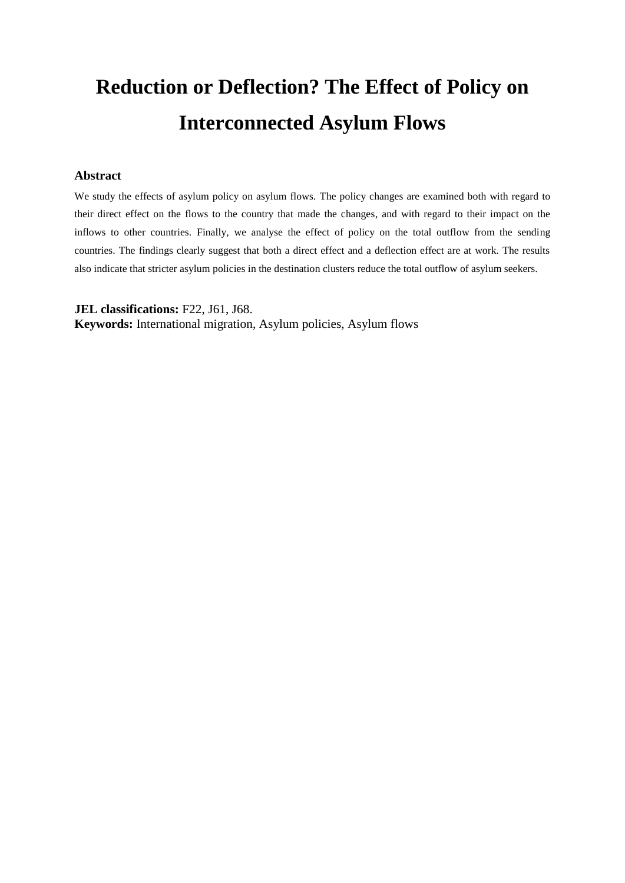# **Reduction or Deflection? The Effect of Policy on Interconnected Asylum Flows**

## **Abstract**

We study the effects of asylum policy on asylum flows. The policy changes are examined both with regard to their direct effect on the flows to the country that made the changes, and with regard to their impact on the inflows to other countries. Finally, we analyse the effect of policy on the total outflow from the sending countries. The findings clearly suggest that both a direct effect and a deflection effect are at work. The results also indicate that stricter asylum policies in the destination clusters reduce the total outflow of asylum seekers.

**JEL classifications:** F22, J61, J68.

**Keywords:** International migration, Asylum policies, Asylum flows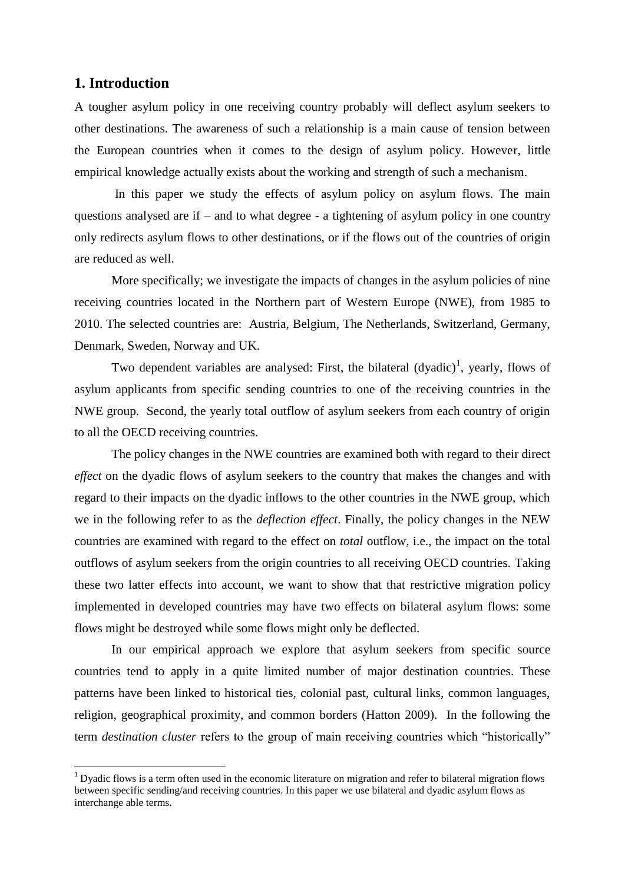## **1. Introduction**

l

A tougher asylum policy in one receiving country probably will deflect asylum seekers to other destinations. The awareness of such a relationship is a main cause of tension between the European countries when it comes to the design of asylum policy. However, little empirical knowledge actually exists about the working and strength of such a mechanism.

In this paper we study the effects of asylum policy on asylum flows. The main questions analysed are if  $-$  and to what degree  $-$  a tightening of asylum policy in one country only redirects asylum flows to other destinations, or if the flows out of the countries of origin are reduced as well.

More specifically; we investigate the impacts of changes in the asylum policies of nine receiving countries located in the Northern part of Western Europe (NWE), from 1985 to 2010. The selected countries are: Austria, Belgium, The Netherlands, Switzerland, Germany, Denmark, Sweden, Norway and UK.

Two dependent variables are analysed: First, the bilateral  $(dyadic)^1$ , yearly, flows of asylum applicants from specific sending countries to one of the receiving countries in the NWE group. Second, the yearly total outflow of asylum seekers from each country of origin to all the OECD receiving countries.

The policy changes in the NWE countries are examined both with regard to their direct *effect* on the dyadic flows of asylum seekers to the country that makes the changes and with regard to their impacts on the dyadic inflows to the other countries in the NWE group, which we in the following refer to as the *deflection effect*. Finally, the policy changes in the NEW countries are examined with regard to the effect on *total* outflow*,* i.e., the impact on the total outflows of asylum seekers from the origin countries to all receiving OECD countries. Taking these two latter effects into account, we want to show that that restrictive migration policy implemented in developed countries may have two effects on bilateral asylum flows: some flows might be destroyed while some flows might only be deflected.

In our empirical approach we explore that asylum seekers from specific source countries tend to apply in a quite limited number of major destination countries. These patterns have been linked to historical ties, colonial past, cultural links, common languages, religion, geographical proximity, and common borders (Hatton 2009). In the following the term *destination cluster* refers to the group of main receiving countries which "historically"

 $<sup>1</sup>$  Dyadic flows is a term often used in the economic literature on migration and refer to bilateral migration flows</sup> between specific sending/and receiving countries. In this paper we use bilateral and dyadic asylum flows as interchange able terms.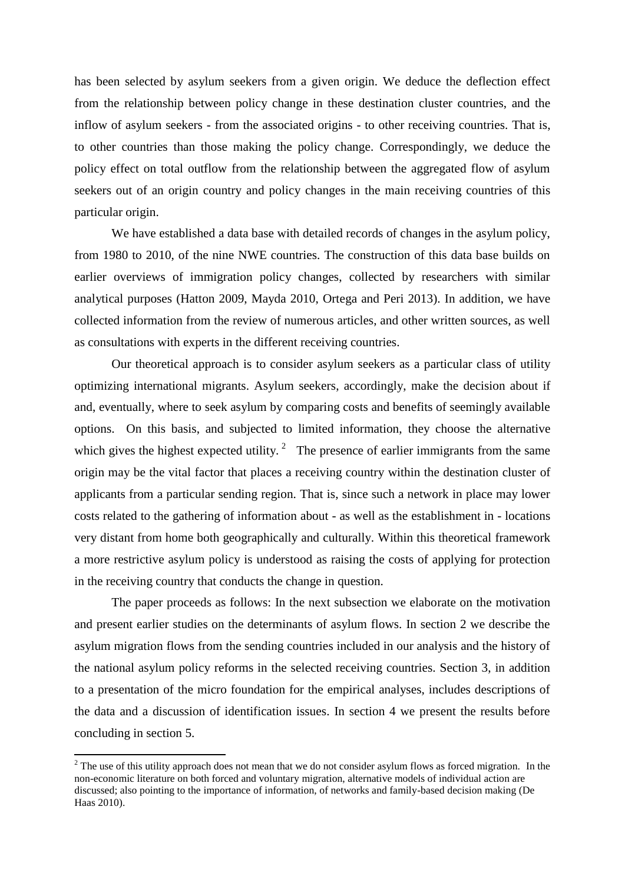has been selected by asylum seekers from a given origin. We deduce the deflection effect from the relationship between policy change in these destination cluster countries, and the inflow of asylum seekers - from the associated origins - to other receiving countries. That is, to other countries than those making the policy change. Correspondingly, we deduce the policy effect on total outflow from the relationship between the aggregated flow of asylum seekers out of an origin country and policy changes in the main receiving countries of this particular origin.

We have established a data base with detailed records of changes in the asylum policy, from 1980 to 2010, of the nine NWE countries. The construction of this data base builds on earlier overviews of immigration policy changes, collected by researchers with similar analytical purposes (Hatton 2009, Mayda 2010, Ortega and Peri 2013). In addition, we have collected information from the review of numerous articles, and other written sources, as well as consultations with experts in the different receiving countries.

Our theoretical approach is to consider asylum seekers as a particular class of utility optimizing international migrants. Asylum seekers, accordingly, make the decision about if and, eventually, where to seek asylum by comparing costs and benefits of seemingly available options. On this basis, and subjected to limited information, they choose the alternative which gives the highest expected utility.<sup>2</sup> The presence of earlier immigrants from the same origin may be the vital factor that places a receiving country within the destination cluster of applicants from a particular sending region. That is, since such a network in place may lower costs related to the gathering of information about - as well as the establishment in - locations very distant from home both geographically and culturally. Within this theoretical framework a more restrictive asylum policy is understood as raising the costs of applying for protection in the receiving country that conducts the change in question.

The paper proceeds as follows: In the next subsection we elaborate on the motivation and present earlier studies on the determinants of asylum flows. In section 2 we describe the asylum migration flows from the sending countries included in our analysis and the history of the national asylum policy reforms in the selected receiving countries. Section 3, in addition to a presentation of the micro foundation for the empirical analyses, includes descriptions of the data and a discussion of identification issues. In section 4 we present the results before concluding in section 5.

 $\overline{\phantom{a}}$ 

 $2<sup>2</sup>$  The use of this utility approach does not mean that we do not consider asylum flows as forced migration. In the non-economic literature on both forced and voluntary migration, alternative models of individual action are discussed; also pointing to the importance of information, of networks and family-based decision making (De Haas 2010).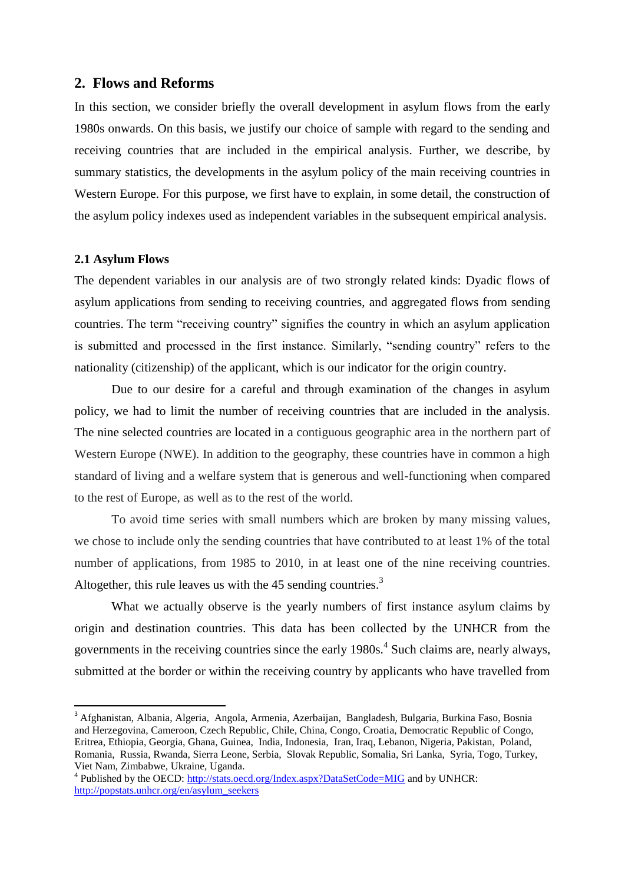## **2. Flows and Reforms**

In this section, we consider briefly the overall development in asylum flows from the early 1980s onwards. On this basis, we justify our choice of sample with regard to the sending and receiving countries that are included in the empirical analysis. Further, we describe, by summary statistics, the developments in the asylum policy of the main receiving countries in Western Europe. For this purpose, we first have to explain, in some detail, the construction of the asylum policy indexes used as independent variables in the subsequent empirical analysis.

## **2.1 Asylum Flows**

 $\overline{a}$ 

The dependent variables in our analysis are of two strongly related kinds: Dyadic flows of asylum applications from sending to receiving countries, and aggregated flows from sending countries. The term "receiving country" signifies the country in which an asylum application is submitted and processed in the first instance. Similarly, "sending country" refers to the nationality (citizenship) of the applicant, which is our indicator for the origin country.

Due to our desire for a careful and through examination of the changes in asylum policy, we had to limit the number of receiving countries that are included in the analysis. The nine selected countries are located in a contiguous geographic area in the northern part of Western Europe (NWE). In addition to the geography, these countries have in common a high standard of living and a welfare system that is generous and well-functioning when compared to the rest of Europe, as well as to the rest of the world.

To avoid time series with small numbers which are broken by many missing values, we chose to include only the sending countries that have contributed to at least 1% of the total number of applications, from 1985 to 2010, in at least one of the nine receiving countries. Altogether, this rule leaves us with the  $45$  sending countries.<sup>3</sup>

What we actually observe is the yearly numbers of first instance asylum claims by origin and destination countries. This data has been collected by the UNHCR from the governments in the receiving countries since the early 1980s.<sup>4</sup> Such claims are, nearly always, submitted at the border or within the receiving country by applicants who have travelled from

<sup>3</sup> Afghanistan, Albania, Algeria, Angola, Armenia, Azerbaijan, Bangladesh, Bulgaria, Burkina Faso, Bosnia and Herzegovina, Cameroon, Czech Republic, Chile, China, Congo, Croatia, Democratic Republic of Congo, Eritrea, Ethiopia, Georgia, Ghana, Guinea, India, Indonesia, Iran, Iraq, Lebanon, Nigeria, Pakistan, Poland, Romania, Russia, Rwanda, Sierra Leone, Serbia, Slovak Republic, Somalia, Sri Lanka, Syria, Togo, Turkey, Viet Nam, Zimbabwe, Ukraine, Uganda.

<sup>&</sup>lt;sup>4</sup> Published by the OECD: <http://stats.oecd.org/Index.aspx?DataSetCode=MIG> and by UNHCR: [http://popstats.unhcr.org/en/asylum\\_seekers](http://popstats.unhcr.org/en/asylum_seekers)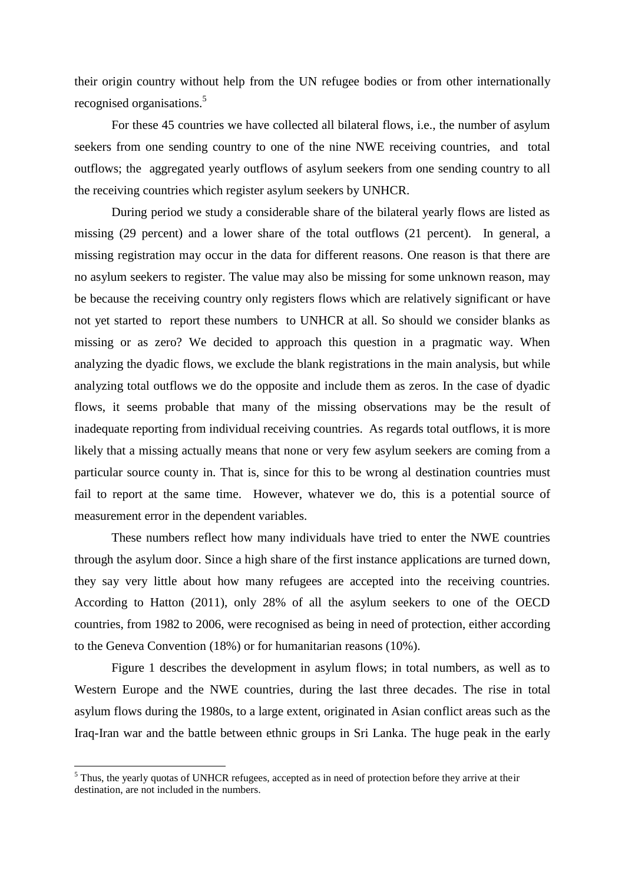their origin country without help from the UN refugee bodies or from other internationally recognised organisations.<sup>5</sup>

For these 45 countries we have collected all bilateral flows, i.e., the number of asylum seekers from one sending country to one of the nine NWE receiving countries, and total outflows; the aggregated yearly outflows of asylum seekers from one sending country to all the receiving countries which register asylum seekers by UNHCR.

During period we study a considerable share of the bilateral yearly flows are listed as missing (29 percent) and a lower share of the total outflows (21 percent). In general, a missing registration may occur in the data for different reasons. One reason is that there are no asylum seekers to register. The value may also be missing for some unknown reason, may be because the receiving country only registers flows which are relatively significant or have not yet started to report these numbers to UNHCR at all. So should we consider blanks as missing or as zero? We decided to approach this question in a pragmatic way. When analyzing the dyadic flows, we exclude the blank registrations in the main analysis, but while analyzing total outflows we do the opposite and include them as zeros. In the case of dyadic flows, it seems probable that many of the missing observations may be the result of inadequate reporting from individual receiving countries. As regards total outflows, it is more likely that a missing actually means that none or very few asylum seekers are coming from a particular source county in. That is, since for this to be wrong al destination countries must fail to report at the same time. However, whatever we do, this is a potential source of measurement error in the dependent variables.

These numbers reflect how many individuals have tried to enter the NWE countries through the asylum door. Since a high share of the first instance applications are turned down, they say very little about how many refugees are accepted into the receiving countries. According to Hatton (2011), only 28% of all the asylum seekers to one of the OECD countries, from 1982 to 2006, were recognised as being in need of protection, either according to the Geneva Convention (18%) or for humanitarian reasons (10%).

Figure 1 describes the development in asylum flows; in total numbers, as well as to Western Europe and the NWE countries, during the last three decades. The rise in total asylum flows during the 1980s, to a large extent, originated in Asian conflict areas such as the Iraq-Iran war and the battle between ethnic groups in Sri Lanka. The huge peak in the early

l

 $<sup>5</sup>$  Thus, the yearly quotas of UNHCR refugees, accepted as in need of protection before they arrive at their</sup> destination, are not included in the numbers.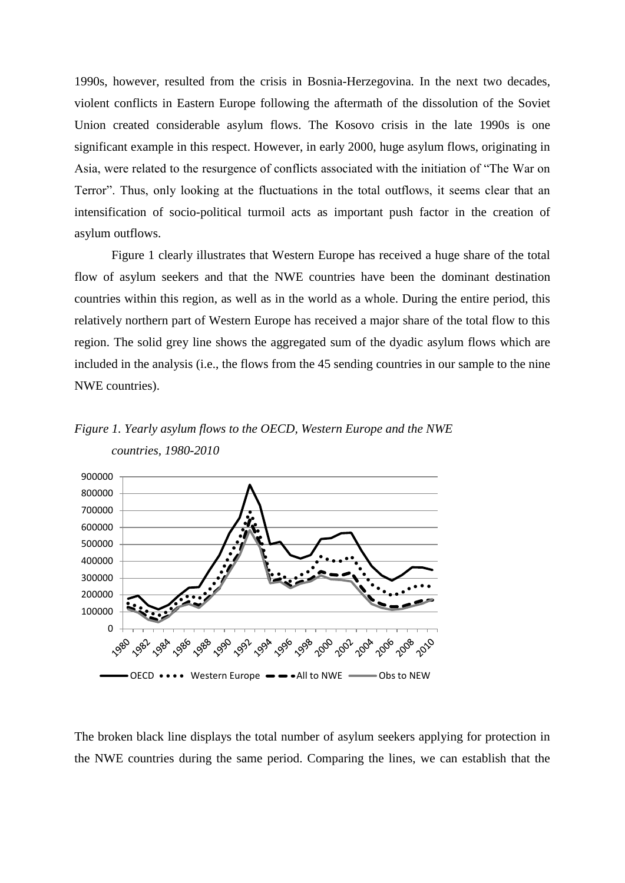1990s, however, resulted from the crisis in Bosnia-Herzegovina. In the next two decades, violent conflicts in Eastern Europe following the aftermath of the dissolution of the Soviet Union created considerable asylum flows. The Kosovo crisis in the late 1990s is one significant example in this respect. However, in early 2000, huge asylum flows, originating in Asia, were related to the resurgence of conflicts associated with the initiation of "The War on Terror". Thus, only looking at the fluctuations in the total outflows, it seems clear that an intensification of socio-political turmoil acts as important push factor in the creation of asylum outflows.

Figure 1 clearly illustrates that Western Europe has received a huge share of the total flow of asylum seekers and that the NWE countries have been the dominant destination countries within this region, as well as in the world as a whole. During the entire period, this relatively northern part of Western Europe has received a major share of the total flow to this region. The solid grey line shows the aggregated sum of the dyadic asylum flows which are included in the analysis (i.e., the flows from the 45 sending countries in our sample to the nine NWE countries).

*Figure 1. Yearly asylum flows to the OECD, Western Europe and the NWE countries, 1980-2010*



The broken black line displays the total number of asylum seekers applying for protection in the NWE countries during the same period. Comparing the lines, we can establish that the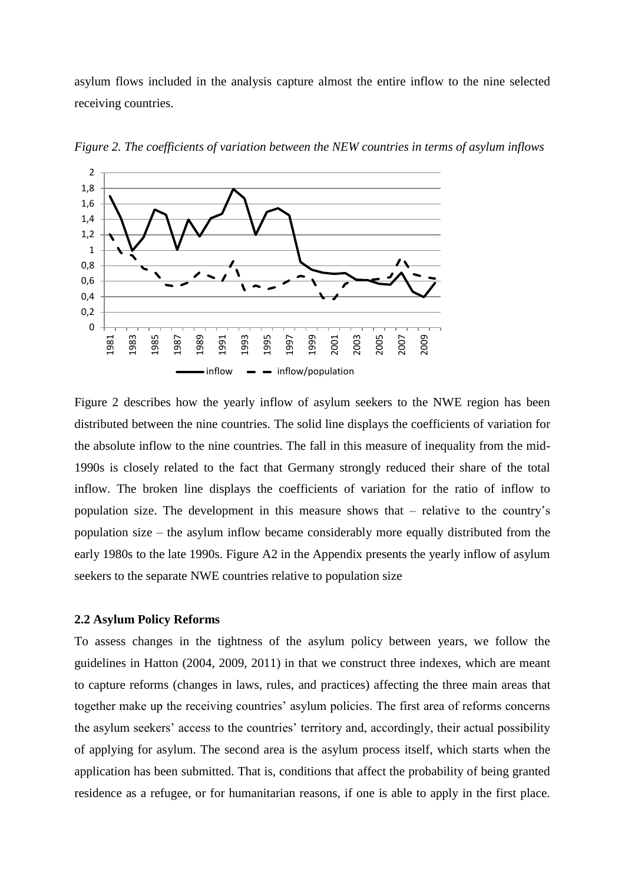asylum flows included in the analysis capture almost the entire inflow to the nine selected receiving countries.



*Figure 2. The coefficients of variation between the NEW countries in terms of asylum inflows*

Figure 2 describes how the yearly inflow of asylum seekers to the NWE region has been distributed between the nine countries. The solid line displays the coefficients of variation for the absolute inflow to the nine countries. The fall in this measure of inequality from the mid-1990s is closely related to the fact that Germany strongly reduced their share of the total inflow. The broken line displays the coefficients of variation for the ratio of inflow to population size. The development in this measure shows that – relative to the country's population size – the asylum inflow became considerably more equally distributed from the early 1980s to the late 1990s. Figure A2 in the Appendix presents the yearly inflow of asylum seekers to the separate NWE countries relative to population size

## **2.2 Asylum Policy Reforms**

To assess changes in the tightness of the asylum policy between years, we follow the guidelines in Hatton (2004, 2009, 2011) in that we construct three indexes, which are meant to capture reforms (changes in laws, rules, and practices) affecting the three main areas that together make up the receiving countries' asylum policies. The first area of reforms concerns the asylum seekers' access to the countries' territory and, accordingly, their actual possibility of applying for asylum. The second area is the asylum process itself, which starts when the application has been submitted. That is, conditions that affect the probability of being granted residence as a refugee, or for humanitarian reasons, if one is able to apply in the first place.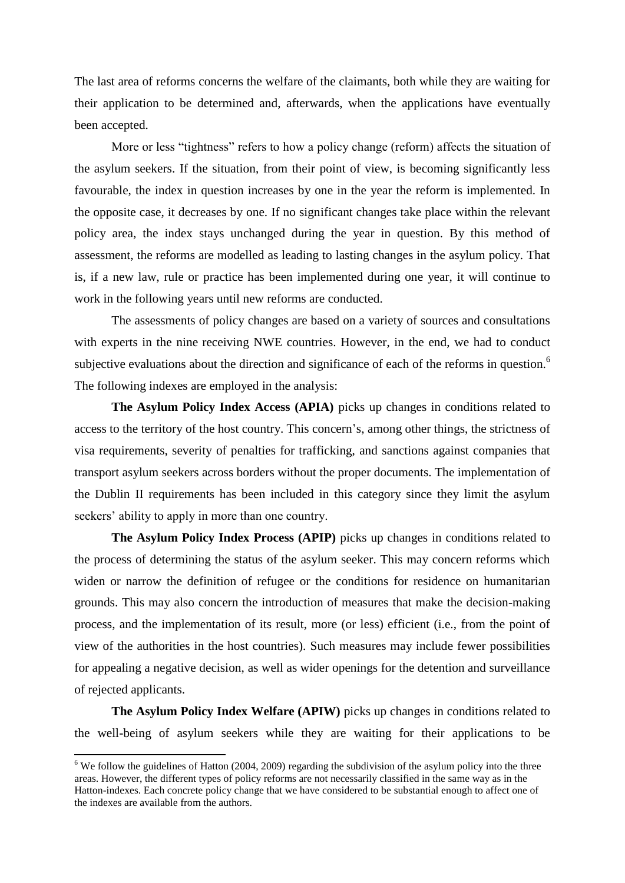The last area of reforms concerns the welfare of the claimants, both while they are waiting for their application to be determined and, afterwards, when the applications have eventually been accepted.

More or less "tightness" refers to how a policy change (reform) affects the situation of the asylum seekers. If the situation, from their point of view, is becoming significantly less favourable, the index in question increases by one in the year the reform is implemented. In the opposite case, it decreases by one. If no significant changes take place within the relevant policy area, the index stays unchanged during the year in question. By this method of assessment, the reforms are modelled as leading to lasting changes in the asylum policy. That is, if a new law, rule or practice has been implemented during one year, it will continue to work in the following years until new reforms are conducted.

The assessments of policy changes are based on a variety of sources and consultations with experts in the nine receiving NWE countries. However, in the end, we had to conduct subjective evaluations about the direction and significance of each of the reforms in question.<sup>6</sup> The following indexes are employed in the analysis:

**The Asylum Policy Index Access (APIA)** picks up changes in conditions related to access to the territory of the host country. This concern's, among other things, the strictness of visa requirements, severity of penalties for trafficking, and sanctions against companies that transport asylum seekers across borders without the proper documents. The implementation of the Dublin II requirements has been included in this category since they limit the asylum seekers' ability to apply in more than one country.

**The Asylum Policy Index Process (APIP)** picks up changes in conditions related to the process of determining the status of the asylum seeker. This may concern reforms which widen or narrow the definition of refugee or the conditions for residence on humanitarian grounds. This may also concern the introduction of measures that make the decision-making process, and the implementation of its result, more (or less) efficient (i.e., from the point of view of the authorities in the host countries). Such measures may include fewer possibilities for appealing a negative decision, as well as wider openings for the detention and surveillance of rejected applicants.

**The Asylum Policy Index Welfare (APIW)** picks up changes in conditions related to the well-being of asylum seekers while they are waiting for their applications to be

 $\overline{\phantom{a}}$ 

 $6$  We follow the guidelines of Hatton (2004, 2009) regarding the subdivision of the asylum policy into the three areas. However, the different types of policy reforms are not necessarily classified in the same way as in the Hatton-indexes. Each concrete policy change that we have considered to be substantial enough to affect one of the indexes are available from the authors.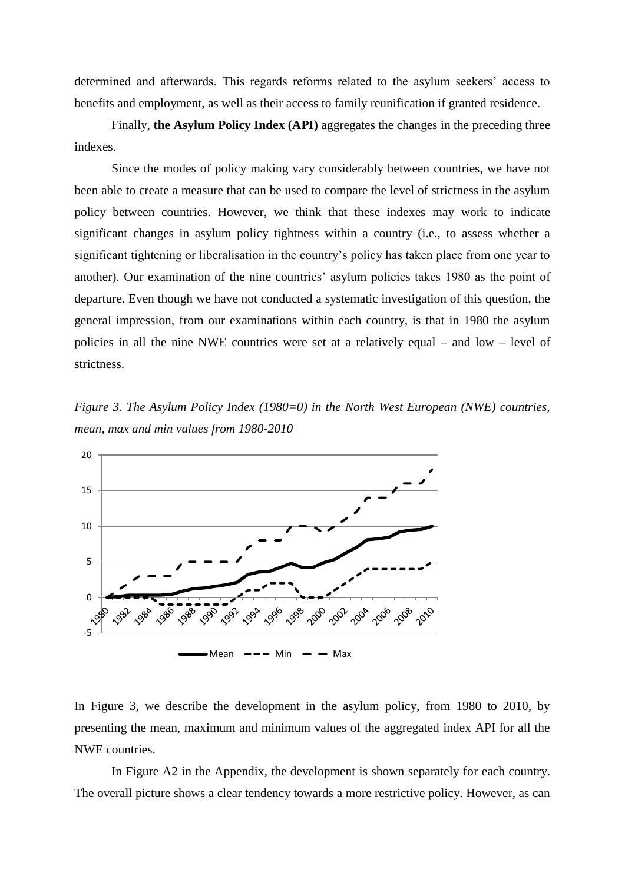determined and afterwards. This regards reforms related to the asylum seekers' access to benefits and employment, as well as their access to family reunification if granted residence.

Finally, **the Asylum Policy Index (API)** aggregates the changes in the preceding three indexes.

Since the modes of policy making vary considerably between countries, we have not been able to create a measure that can be used to compare the level of strictness in the asylum policy between countries. However, we think that these indexes may work to indicate significant changes in asylum policy tightness within a country (i.e., to assess whether a significant tightening or liberalisation in the country's policy has taken place from one year to another). Our examination of the nine countries' asylum policies takes 1980 as the point of departure. Even though we have not conducted a systematic investigation of this question, the general impression, from our examinations within each country, is that in 1980 the asylum policies in all the nine NWE countries were set at a relatively equal – and low – level of strictness.

*Figure 3. The Asylum Policy Index (1980=0) in the North West European (NWE) countries, mean, max and min values from 1980-2010*



In Figure 3, we describe the development in the asylum policy, from 1980 to 2010, by presenting the mean, maximum and minimum values of the aggregated index API for all the NWE countries.

In Figure A2 in the Appendix, the development is shown separately for each country. The overall picture shows a clear tendency towards a more restrictive policy. However, as can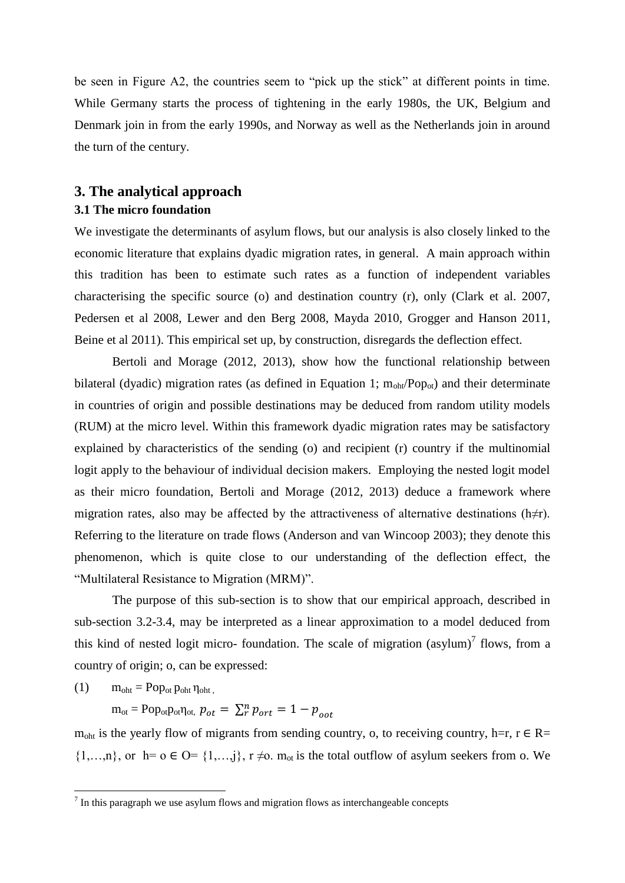be seen in Figure A2, the countries seem to "pick up the stick" at different points in time. While Germany starts the process of tightening in the early 1980s, the UK, Belgium and Denmark join in from the early 1990s, and Norway as well as the Netherlands join in around the turn of the century.

## **3. The analytical approach 3.1 The micro foundation**

We investigate the determinants of asylum flows, but our analysis is also closely linked to the economic literature that explains dyadic migration rates, in general. A main approach within this tradition has been to estimate such rates as a function of independent variables characterising the specific source (o) and destination country (r), only (Clark et al. 2007, Pedersen et al 2008, Lewer and den Berg 2008, Mayda 2010, Grogger and Hanson 2011, Beine et al 2011). This empirical set up, by construction, disregards the deflection effect.

Bertoli and Morage (2012, 2013), show how the functional relationship between bilateral (dyadic) migration rates (as defined in Equation 1;  $m_{\text{oht}}/Pop_{\text{ot}}$ ) and their determinate in countries of origin and possible destinations may be deduced from random utility models (RUM) at the micro level. Within this framework dyadic migration rates may be satisfactory explained by characteristics of the sending (o) and recipient (r) country if the multinomial logit apply to the behaviour of individual decision makers. Employing the nested logit model as their micro foundation, Bertoli and Morage (2012, 2013) deduce a framework where migration rates, also may be affected by the attractiveness of alternative destinations (h≠r). Referring to the literature on trade flows (Anderson and van Wincoop 2003); they denote this phenomenon, which is quite close to our understanding of the deflection effect, the "Multilateral Resistance to Migration (MRM)".

The purpose of this sub-section is to show that our empirical approach, described in sub-section 3.2-3.4, may be interpreted as a linear approximation to a model deduced from this kind of nested logit micro- foundation. The scale of migration  $(asylum)^7$  flows, from a country of origin; o, can be expressed:

(1)  $m_{\text{oht}} = Pop_{\text{ot}} p_{\text{oht}} \eta_{\text{oht}}$ 

 $m_{\text{ot}} = \text{Pop}_{\text{ot}} p_{\text{ott}}$ ,  $p_{ot} = \sum_{r}^{n} p_{ort} = 1 - p_{oot}$ 

 $m_{\text{oht}}$  is the yearly flow of migrants from sending country, o, to receiving country, h=r, r  $\in$  R=  $\{1,\ldots,n\}$ , or  $h=0 \in O=\{1,\ldots,j\}$ ,  $r \neq 0$ .  $m_{ot}$  is the total outflow of asylum seekers from o. We

<sup>&</sup>lt;sup>7</sup> In this paragraph we use asylum flows and migration flows as interchangeable concepts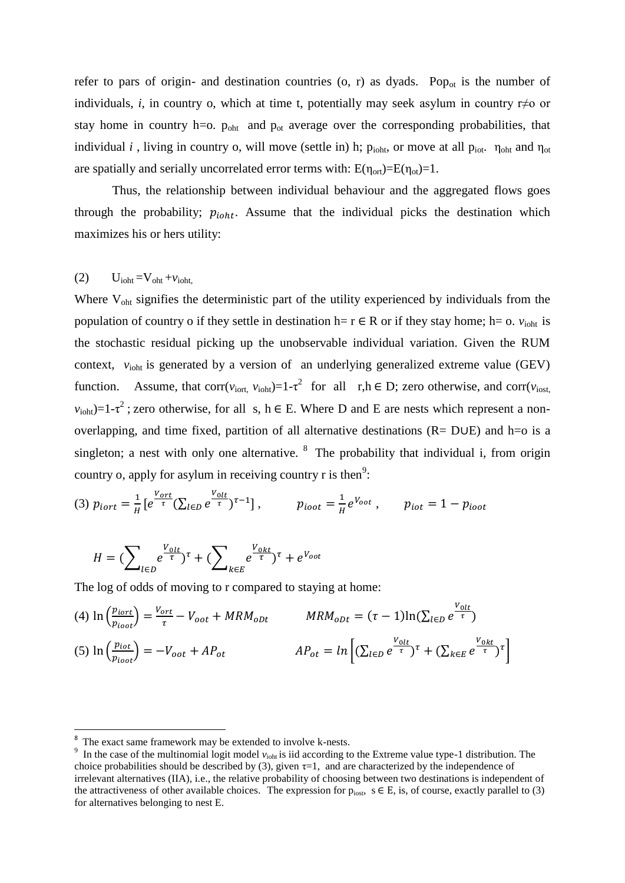refer to pars of origin- and destination countries  $(o, r)$  as dyads. Pop<sub>ot</sub> is the number of individuals, *i*, in country o, which at time t, potentially may seek asylum in country r≠o or stay home in country h=o.  $p_{\text{oht}}$  and  $p_{\text{ot}}$  average over the corresponding probabilities, that individual *i*, living in country o, will move (settle in) h;  $p_{\text{ioht}}$ , or move at all  $p_{\text{iot}}$ .  $\eta_{\text{oht}}$  and  $\eta_{\text{ot}}$ are spatially and serially uncorrelated error terms with:  $E(\eta_{\text{ort}})=E(\eta_{\text{ot}})=1$ .

Thus, the relationship between individual behaviour and the aggregated flows goes through the probability;  $p_{i}$ , Assume that the individual picks the destination which maximizes his or hers utility:

## $U_{\text{ioht}} = V_{\text{oht}} + v_{\text{ioht}}$

Where V<sub>oht</sub> signifies the deterministic part of the utility experienced by individuals from the population of country o if they settle in destination h=  $r \in R$  or if they stay home; h= o.  $v_{\text{ioht}}$  is the stochastic residual picking up the unobservable individual variation. Given the RUM context,  $v_{\text{iobt}}$  is generated by a version of an underlying generalized extreme value (GEV) function. Assume, that corr( $v_{\text{iort}}$ ,  $v_{\text{ioht}}$ )=1-τ<sup>2</sup> for all r,h  $\in$  D; zero otherwise, and corr( $v_{\text{iost}}$ ,  $v_{\text{iont}}$ )=1-τ<sup>2</sup>; zero otherwise, for all s, h  $\in$  E. Where D and E are nests which represent a nonoverlapping, and time fixed, partition of all alternative destinations (R= D∪E) and h=o is a singleton; a nest with only one alternative.  $8\text{ The probability that individual } i$ , from origin country o, apply for asylum in receiving country r is then<sup>9</sup>:

(3) 
$$
p_{iort} = \frac{1}{H} \left[ e^{\frac{V_{ort}}{\tau}} (\sum_{l \in D} e^{\frac{V_{olt}}{\tau}})^{\tau - 1} \right],
$$
  $p_{ioot} = \frac{1}{H} e^{V_{oot}} ,$   $p_{iot} = 1 - p_{ioot}$ 

$$
H = \left(\sum_{l \in D} e^{\frac{V_{olt}}{\tau}}\right)^{\tau} + \left(\sum_{k \in E} e^{\frac{V_{olt}}{\tau}}\right)^{\tau} + e^{V_{oot}}
$$

The log of odds of moving to r compared to staying at home:

(4) 
$$
\ln \left( \frac{p_{iort}}{p_{ioot}} \right) = \frac{V_{ort}}{\tau} - V_{oot} + MRM_{opt}
$$
  $MRM_{opt} = (\tau - 1)\ln(\sum_{l \in D} e^{\frac{V_{olt}}{\tau}})$   
(5)  $\ln \left( \frac{p_{iot}}{p_{ioot}} \right) = -V_{oot} + AP_{ot}$   $AP_{ot} = \ln \left[ (\sum_{l \in D} e^{\frac{V_{olt}}{\tau}})^{\tau} + (\sum_{k \in E} e^{\frac{V_{okt}}{\tau}})^{\tau} \right]$ 

 $\overline{\phantom{a}}$ 

<sup>8</sup> The exact same framework may be extended to involve k-nests.

<sup>&</sup>lt;sup>9</sup> In the case of the multinomial logit model  $v_{\text{ioht}}$  is iid according to the Extreme value type-1 distribution. The choice probabilities should be described by (3), given  $\tau=1$ , and are characterized by the independence of irrelevant alternatives (IIA), i.e., the relative probability of choosing between two destinations is independent of the attractiveness of other available choices. The expression for  $p_{\text{inst}}$ ,  $s \in E$ , is, of course, exactly parallel to (3) for alternatives belonging to nest E.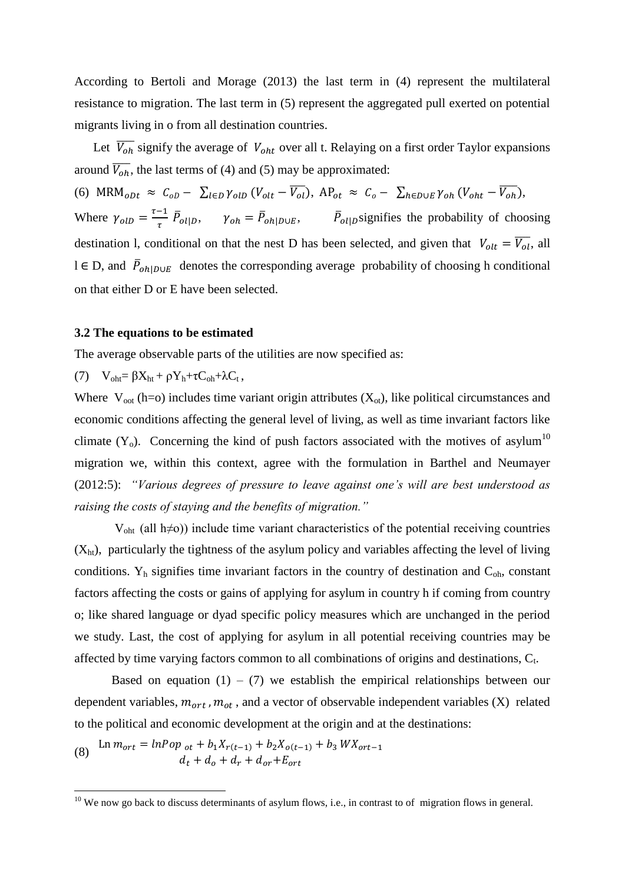According to Bertoli and Morage (2013) the last term in (4) represent the multilateral resistance to migration. The last term in (5) represent the aggregated pull exerted on potential migrants living in o from all destination countries.

Let  $\overline{V_{oh}}$  signify the average of  $V_{oht}$  over all t. Relaying on a first order Taylor expansions around  $\overline{V_{oh}}$ , the last terms of (4) and (5) may be approximated:

(6)  $MRM_{oDt} \approx C_{oD} - \sum_{l \in D} \gamma_{olb} (V_{olt} - \overline{V_{ol}}), AP_{ot} \approx C_o - \sum_{h \in D \cup E} \gamma_{oh} (V_{oht} - \overline{V_{oh}}),$ Where  $\gamma_{olD} = \frac{\tau - 1}{\tau}$  $\frac{-1}{\tau} \bar{P}_{ol|D}$ ,  $\gamma_{oh} = \bar{P}_{oh|D \cup E}$ ,  $\bar{P}_{ol|D}$  signifies the probability of choosing destination 1, conditional on that the nest D has been selected, and given that  $V_{olt} = \overline{V_{ol}}$ , all l ∈ D, and  $\bar{P}_{oh|D \cup E}$  denotes the corresponding average probability of choosing h conditional on that either D or E have been selected.

### **3.2 The equations to be estimated**

The average observable parts of the utilities are now specified as:

(7)  $V_{\text{oh}} = \beta X_{\text{ht}} + \rho Y_{\text{h}} + \tau C_{\text{oh}} + \lambda C_t$ ,

Where  $V_{\text{oot}}$  (h=o) includes time variant origin attributes  $(X_{\text{ot}})$ , like political circumstances and economic conditions affecting the general level of living, as well as time invariant factors like climate  $(Y_0)$ . Concerning the kind of push factors associated with the motives of asylum<sup>10</sup> migration we, within this context, agree with the formulation in Barthel and Neumayer (2012:5): *"Various degrees of pressure to leave against one's will are best understood as raising the costs of staying and the benefits of migration."*

Voht (all h≠o)) include time variant characteristics of the potential receiving countries  $(X<sub>ht</sub>)$ , particularly the tightness of the asylum policy and variables affecting the level of living conditions.  $Y_h$  signifies time invariant factors in the country of destination and  $C_{oh}$ , constant factors affecting the costs or gains of applying for asylum in country h if coming from country o; like shared language or dyad specific policy measures which are unchanged in the period we study. Last, the cost of applying for asylum in all potential receiving countries may be affected by time varying factors common to all combinations of origins and destinations,  $C_t$ .

Based on equation  $(1) - (7)$  we establish the empirical relationships between our dependent variables,  $m_{ort}$ ,  $m_{ot}$ , and a vector of observable independent variables (X) related to the political and economic development at the origin and at the destinations:

(8) Ln  $m_{ort} = lnPop_{ot} + b_1X_{r(t-1)} + b_2X_{o(t-1)} + b_3WX_{ort-1}$  $d_t + d_o + d_r + d_{or} + E_{ort}$ 

l

<sup>&</sup>lt;sup>10</sup> We now go back to discuss determinants of asylum flows, i.e., in contrast to of migration flows in general.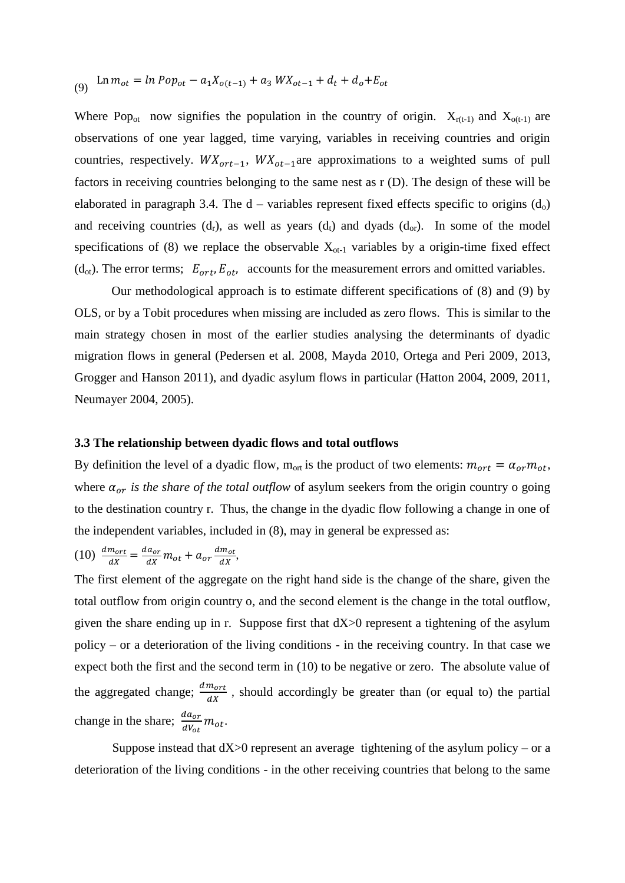(9) 
$$
\operatorname{Ln} m_{ot} = \operatorname{ln} Pop_{ot} - a_1 X_{o(t-1)} + a_3 W X_{ot-1} + d_t + d_o + E_{ot}
$$

Where Pop<sub>ot</sub> now signifies the population in the country of origin.  $X_{r(t-1)}$  and  $X_{o(t-1)}$  are observations of one year lagged, time varying, variables in receiving countries and origin countries, respectively.  $WX_{ort-1}$ ,  $WX_{ot-1}$  are approximations to a weighted sums of pull factors in receiving countries belonging to the same nest as r (D). The design of these will be elaborated in paragraph 3.4. The  $d$  – variables represent fixed effects specific to origins  $(d_0)$ and receiving countries  $(d_r)$ , as well as years  $(d_t)$  and dyads  $(d_{\text{or}})$ . In some of the model specifications of (8) we replace the observable  $X_{ot-1}$  variables by a origin-time fixed effect (d<sub>ot</sub>). The error terms;  $E_{ort}$ ,  $E_{ot}$ , accounts for the measurement errors and omitted variables.

Our methodological approach is to estimate different specifications of (8) and (9) by OLS, or by a Tobit procedures when missing are included as zero flows. This is similar to the main strategy chosen in most of the earlier studies analysing the determinants of dyadic migration flows in general (Pedersen et al. 2008, Mayda 2010, Ortega and Peri 2009, 2013, Grogger and Hanson 2011), and dyadic asylum flows in particular (Hatton 2004, 2009, 2011, Neumayer 2004, 2005).

### **3.3 The relationship between dyadic flows and total outflows**

By definition the level of a dyadic flow,  $m_{\text{ort}}$  is the product of two elements:  $m_{\text{ort}} = \alpha_{\text{or}} m_{\text{ot}}$ , where  $\alpha_{or}$  is the share of the total outflow of asylum seekers from the origin country o going to the destination country r. Thus, the change in the dyadic flow following a change in one of the independent variables, included in (8), may in general be expressed as:

$$
(10) \frac{dm_{ort}}{dx} = \frac{da_{or}}{dx}m_{ot} + a_{or}\frac{dm_{ot}}{dx},
$$

The first element of the aggregate on the right hand side is the change of the share, given the total outflow from origin country o, and the second element is the change in the total outflow, given the share ending up in r. Suppose first that dX>0 represent a tightening of the asylum policy – or a deterioration of the living conditions - in the receiving country. In that case we expect both the first and the second term in (10) to be negative or zero. The absolute value of the aggregated change;  $\frac{dm_{ort}}{dx}$ , should accordingly be greater than (or equal to) the partial change in the share;  $\frac{da_{or}}{dV_{ot}}m_{ot}$ .

Suppose instead that  $dX>0$  represent an average tightening of the asylum policy – or a deterioration of the living conditions - in the other receiving countries that belong to the same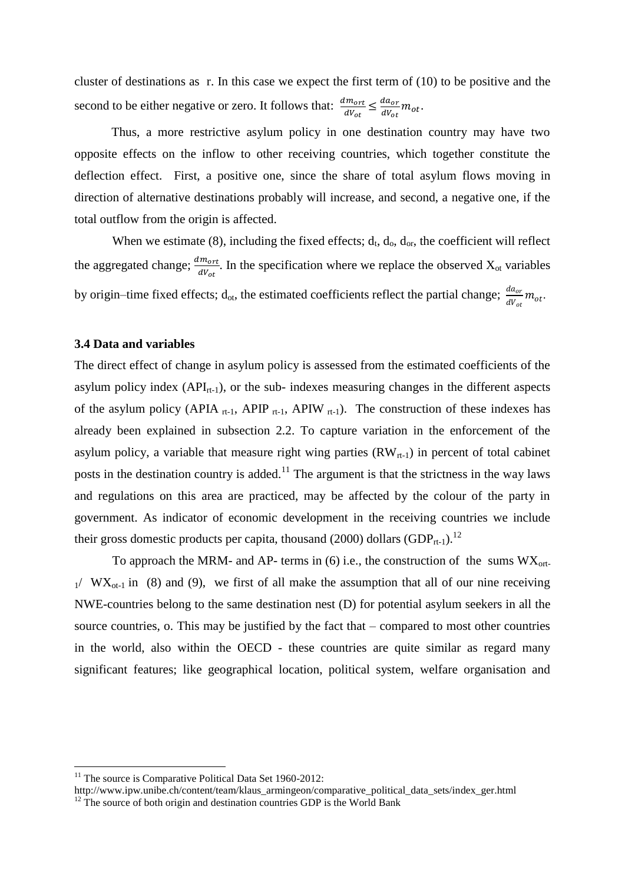cluster of destinations as r. In this case we expect the first term of (10) to be positive and the second to be either negative or zero. It follows that:  $\frac{dm_{ort}}{dV_{ot}} \leq \frac{da_{or}}{dV_{ot}}$  $\frac{a a_{or}}{d V_{ot}} m_{ot}.$ 

Thus, a more restrictive asylum policy in one destination country may have two opposite effects on the inflow to other receiving countries, which together constitute the deflection effect. First, a positive one, since the share of total asylum flows moving in direction of alternative destinations probably will increase, and second, a negative one, if the total outflow from the origin is affected.

When we estimate (8), including the fixed effects;  $d_t$ ,  $d_o$ ,  $d_{or}$ , the coefficient will reflect the aggregated change;  $\frac{dm_{ort}}{dV_{ot}}$ . In the specification where we replace the observed  $X_{ot}$  variables by origin–time fixed effects;  $d_{ot}$ , the estimated coefficients reflect the partial change;  $\frac{da_{or}}{dV_{ot}}m_{ot}$ .

## **3.4 Data and variables**

The direct effect of change in asylum policy is assessed from the estimated coefficients of the asylum policy index  $(API_{rt-1})$ , or the sub- indexes measuring changes in the different aspects of the asylum policy (APIA  $_{rt-1}$ , APIP  $_{rt-1}$ , APIW  $_{rt-1}$ ). The construction of these indexes has already been explained in subsection 2.2. To capture variation in the enforcement of the asylum policy, a variable that measure right wing parties  $(RW_{rt-1})$  in percent of total cabinet posts in the destination country is added.<sup>11</sup> The argument is that the strictness in the way laws and regulations on this area are practiced, may be affected by the colour of the party in government. As indicator of economic development in the receiving countries we include their gross domestic products per capita, thousand (2000) dollars (GDP<sub>rt-1</sub>).<sup>12</sup>

To approach the MRM- and AP- terms in  $(6)$  i.e., the construction of the sums  $WX_{ort}$  $1/(WX_{\text{ot-1}})$  in (8) and (9), we first of all make the assumption that all of our nine receiving NWE-countries belong to the same destination nest (D) for potential asylum seekers in all the source countries, o. This may be justified by the fact that – compared to most other countries in the world, also within the OECD - these countries are quite similar as regard many significant features; like geographical location, political system, welfare organisation and

 $\overline{a}$ 

<sup>&</sup>lt;sup>11</sup> The source is Comparative Political Data Set 1960-2012:

http://www.ipw.unibe.ch/content/team/klaus\_armingeon/comparative\_political\_data\_sets/index\_ger.html <sup>12</sup> The source of both origin and destination countries GDP is the World Bank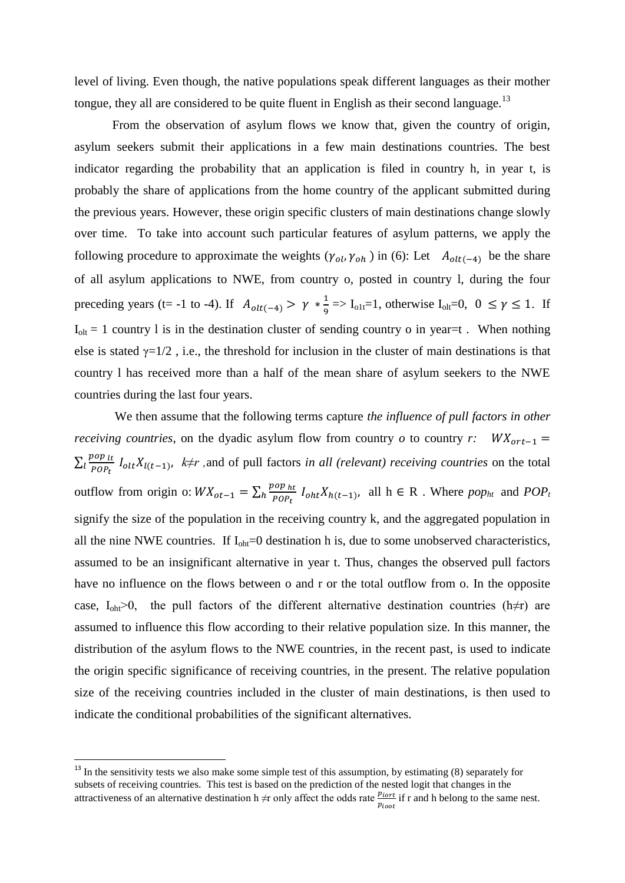level of living. Even though, the native populations speak different languages as their mother tongue, they all are considered to be quite fluent in English as their second language.<sup>13</sup>

From the observation of asylum flows we know that, given the country of origin, asylum seekers submit their applications in a few main destinations countries. The best indicator regarding the probability that an application is filed in country h, in year t, is probably the share of applications from the home country of the applicant submitted during the previous years. However, these origin specific clusters of main destinations change slowly over time. To take into account such particular features of asylum patterns, we apply the following procedure to approximate the weights ( $\gamma_{ol}$ ,  $\gamma_{oh}$ ) in (6): Let  $A_{olt(-4)}$  be the share of all asylum applications to NWE, from country o, posted in country l, during the four preceding years (t= -1 to -4). If  $A_{olt(-4)} > \gamma * \frac{1}{9}$  $\frac{1}{9}$  => I<sub>o1t</sub>=1, otherwise I<sub>olt</sub>=0, 0  $\leq \gamma \leq 1$ . If  $I_{\text{olt}} = 1$  country 1 is in the destination cluster of sending country o in year=t. When nothing else is stated  $\gamma=1/2$ , i.e., the threshold for inclusion in the cluster of main destinations is that country l has received more than a half of the mean share of asylum seekers to the NWE countries during the last four years.

We then assume that the following terms capture *the influence of pull factors in other receiving countries*, on the dyadic asylum flow from country *o* to country *r*:  $WX_{ort-1} =$  $\sum_{l} \frac{pop_{lt}}{pos_{lt}}$  $\int_{t}^{p} \frac{p\omega p}{p\rho P_t} I_{olt} X_{l(t-1)}$ ,  $k \neq r$ , and of pull factors *in all (relevant) receiving countries* on the total outflow from origin o:  $WX_{ot-1} = \sum_{h} \frac{pop_{ht}}{pop_{th}}$  $h \frac{p \cdot p \cdot p \cdot h}{p \cdot p} I_{\text{oht}} X_{h(t-1)}$ , all  $h \in \mathbb{R}$ . Where  $p \cdot p \cdot h$  and  $POP_t$ signify the size of the population in the receiving country k, and the aggregated population in all the nine NWE countries. If  $I_{\text{oh}z} = 0$  destination h is, due to some unobserved characteristics, assumed to be an insignificant alternative in year t. Thus, changes the observed pull factors have no influence on the flows between o and r or the total outflow from o. In the opposite case,  $I_{\text{oh}z}$  = 0, the pull factors of the different alternative destination countries (h≠r) are assumed to influence this flow according to their relative population size. In this manner, the distribution of the asylum flows to the NWE countries, in the recent past, is used to indicate the origin specific significance of receiving countries, in the present. The relative population size of the receiving countries included in the cluster of main destinations, is then used to indicate the conditional probabilities of the significant alternatives.

 $\overline{a}$ 

 $13$  In the sensitivity tests we also make some simple test of this assumption, by estimating (8) separately for subsets of receiving countries. This test is based on the prediction of the nested logit that changes in the attractiveness of an alternative destination h  $\neq$ r only affect the odds rate  $\frac{p_{iort}}{p_{ioot}}$  if r and h belong to the same nest.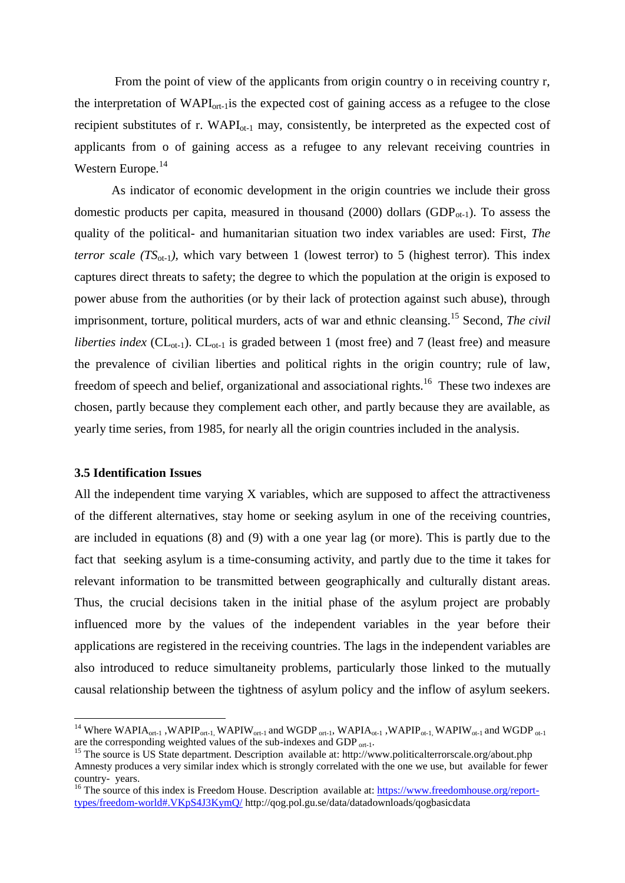From the point of view of the applicants from origin country o in receiving country r, the interpretation of  $WAPI_{ort-1}$  is the expected cost of gaining access as a refugee to the close recipient substitutes of r.  $WAPI_{\text{ot-1}}$  may, consistently, be interpreted as the expected cost of applicants from o of gaining access as a refugee to any relevant receiving countries in Western Europe.<sup>14</sup>

As indicator of economic development in the origin countries we include their gross domestic products per capita, measured in thousand (2000) dollars (GDP $_{\text{o}t-1}$ ). To assess the quality of the political- and humanitarian situation two index variables are used: First, *The terror scale (TS*<sub>ot-1</sub>), which vary between 1 (lowest terror) to 5 (highest terror). This index captures direct threats to safety; the degree to which the population at the origin is exposed to power abuse from the authorities (or by their lack of protection against such abuse), through imprisonment, torture, political murders, acts of war and ethnic cleansing.<sup>15</sup> Second, *The civil liberties index* ( $CL_{ot-1}$ ).  $CL_{ot-1}$  is graded between 1 (most free) and 7 (least free) and measure the prevalence of civilian liberties and political rights in the origin country; rule of law, freedom of speech and belief, organizational and associational rights.<sup>16</sup> These two indexes are chosen, partly because they complement each other, and partly because they are available, as yearly time series, from 1985, for nearly all the origin countries included in the analysis.

#### **3.5 Identification Issues**

l

All the independent time varying  $X$  variables, which are supposed to affect the attractiveness of the different alternatives, stay home or seeking asylum in one of the receiving countries, are included in equations (8) and (9) with a one year lag (or more). This is partly due to the fact that seeking asylum is a time-consuming activity, and partly due to the time it takes for relevant information to be transmitted between geographically and culturally distant areas. Thus, the crucial decisions taken in the initial phase of the asylum project are probably influenced more by the values of the independent variables in the year before their applications are registered in the receiving countries. The lags in the independent variables are also introduced to reduce simultaneity problems, particularly those linked to the mutually causal relationship between the tightness of asylum policy and the inflow of asylum seekers.

<sup>&</sup>lt;sup>14</sup> Where WAPIA<sub>ort-1</sub>, WAPIP<sub>ort-1</sub>, WAPIW<sub>ort-1</sub> and WGDP <sub>ort-1</sub>, WAPIA<sub>ot-1</sub>, WAPIP<sub>ot-1</sub>, WAPIW<sub>ot-1</sub> and WGDP <sub>ot-1</sub> are the corresponding weighted values of the sub-indexes and GDP <sub>ort-1</sub>.

<sup>&</sup>lt;sup>15</sup> The source is US State department. Description available at: http://www.politicalterrorscale.org/about.php Amnesty produces a very similar index which is strongly correlated with the one we use, but available for fewer country- years.

<sup>&</sup>lt;sup>16</sup> The source of this index is Freedom House. Description available at: [https://www.freedomhouse.org/report](https://www.freedomhouse.org/report-types/freedom-world#.VKpS4J3KymQ/)[types/freedom-world#.VKpS4J3KymQ/](https://www.freedomhouse.org/report-types/freedom-world#.VKpS4J3KymQ/) http://qog.pol.gu.se/data/datadownloads/qogbasicdata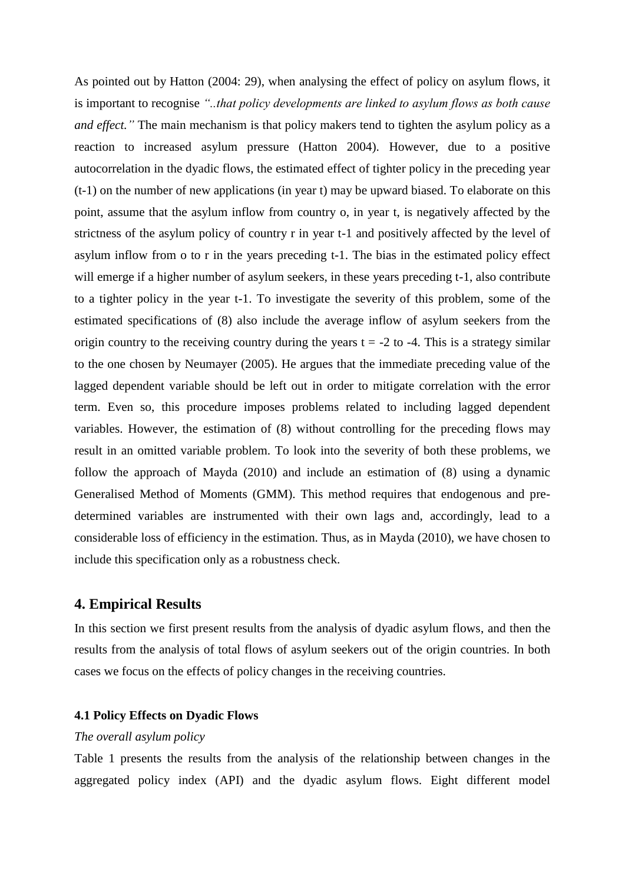As pointed out by Hatton (2004: 29), when analysing the effect of policy on asylum flows, it is important to recognise *"..that policy developments are linked to asylum flows as both cause and effect.*" The main mechanism is that policy makers tend to tighten the asylum policy as a reaction to increased asylum pressure (Hatton 2004). However, due to a positive autocorrelation in the dyadic flows, the estimated effect of tighter policy in the preceding year (t-1) on the number of new applications (in year t) may be upward biased. To elaborate on this point, assume that the asylum inflow from country o, in year t, is negatively affected by the strictness of the asylum policy of country r in year t-1 and positively affected by the level of asylum inflow from o to r in the years preceding t-1. The bias in the estimated policy effect will emerge if a higher number of asylum seekers, in these years preceding t-1, also contribute to a tighter policy in the year t-1. To investigate the severity of this problem, some of the estimated specifications of (8) also include the average inflow of asylum seekers from the origin country to the receiving country during the years  $t = -2$  to  $-4$ . This is a strategy similar to the one chosen by Neumayer (2005). He argues that the immediate preceding value of the lagged dependent variable should be left out in order to mitigate correlation with the error term. Even so, this procedure imposes problems related to including lagged dependent variables. However, the estimation of (8) without controlling for the preceding flows may result in an omitted variable problem. To look into the severity of both these problems, we follow the approach of Mayda (2010) and include an estimation of (8) using a dynamic Generalised Method of Moments (GMM). This method requires that endogenous and predetermined variables are instrumented with their own lags and, accordingly, lead to a considerable loss of efficiency in the estimation. Thus, as in Mayda (2010), we have chosen to include this specification only as a robustness check.

## **4. Empirical Results**

In this section we first present results from the analysis of dyadic asylum flows, and then the results from the analysis of total flows of asylum seekers out of the origin countries. In both cases we focus on the effects of policy changes in the receiving countries.

## **4.1 Policy Effects on Dyadic Flows**

## *The overall asylum policy*

Table 1 presents the results from the analysis of the relationship between changes in the aggregated policy index (API) and the dyadic asylum flows. Eight different model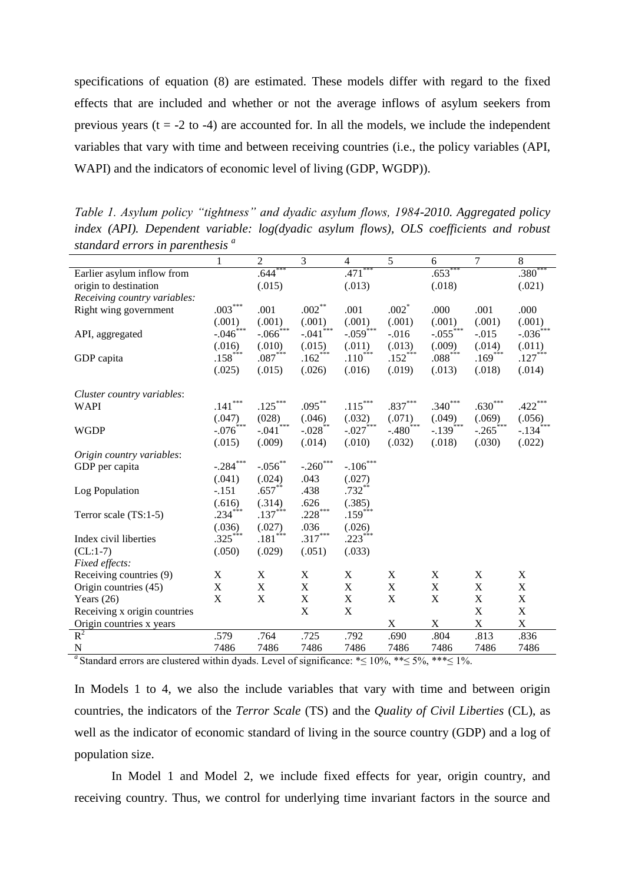specifications of equation (8) are estimated. These models differ with regard to the fixed effects that are included and whether or not the average inflows of asylum seekers from previous years  $(t = -2 t_0 - 4)$  are accounted for. In all the models, we include the independent variables that vary with time and between receiving countries (i.e., the policy variables (API, WAPI) and the indicators of economic level of living (GDP, WGDP)).

| $\frac{1}{2}$                |                |                           |                        |                        |                           |                        |                           |                                  |
|------------------------------|----------------|---------------------------|------------------------|------------------------|---------------------------|------------------------|---------------------------|----------------------------------|
|                              | 1              | $\overline{c}$            | 3                      | 4                      | 5                         | 6                      | 7                         | 8                                |
| Earlier asylum inflow from   |                | $.644***$                 |                        | $.471***$              |                           | $.653***$              |                           | $.380**$                         |
| origin to destination        |                | (.015)                    |                        | (.013)                 |                           | (.018)                 |                           | (.021)                           |
| Receiving country variables: |                |                           |                        |                        |                           |                        |                           |                                  |
| Right wing government        | $.003***$      | .001                      | $.002***$              | .001                   | $.002*$                   | .000                   | .001                      | .000                             |
|                              | (.001)         | (.001)                    | (.001)                 | (.001)                 | (.001)                    | (.001)                 | (.001)                    | $(.001)$<br>-.036 <sup>***</sup> |
| API, aggregated              | $-.046$ ***    | $-.066$ <sup>***</sup>    | $-.041$ <sup>***</sup> | $-.059$ <sup>***</sup> | $-0.016$                  | $-.055$ ***            | $-0.015$                  |                                  |
|                              | (.016)         | (.010)                    | (.015)                 | (.011)                 | (.013)                    | (.009)                 | (.014)                    | (.011)                           |
| GDP capita                   | $.158***$      | $.087***$                 | $.162***$              | $.110^{***}$           | $.152$ <sup>***</sup>     | $.088***$              | $.169***$                 | $.127***$                        |
|                              | (.025)         | (.015)                    | (.026)                 | (.016)                 | (.019)                    | (.013)                 | (.018)                    | (.014)                           |
| Cluster country variables:   |                |                           |                        |                        |                           |                        |                           |                                  |
| <b>WAPI</b>                  | $.141\sp{***}$ | $.125***$                 | $.095***$              | $.115***$              | $.837***$                 | $.340***$              | $.630***$                 | $.422***$                        |
|                              | (.047)         | (028)                     | (.046)                 | (.032)                 | (.071)                    | (.049)                 | (.069)                    | (.056)                           |
| <b>WGDP</b>                  | $-.076$ ***    | ***<br>$-.041$            | $-.028$ <sup>**</sup>  | $-.027$ ***            | $-.480$ <sup>***</sup>    | $-.139$ <sup>***</sup> | $-.265$ ***               | $-134$ <sup>***</sup>            |
|                              | (.015)         | (.009)                    | (.014)                 | (.010)                 | (.032)                    | (.018)                 | (.030)                    | (.022)                           |
| Origin country variables:    |                |                           |                        |                        |                           |                        |                           |                                  |
| GDP per capita               | $-.284***$     | $-.056$ **                | $-.260***$             | $-.106***$             |                           |                        |                           |                                  |
|                              | (.041)         | (.024)                    | .043                   | (.027)                 |                           |                        |                           |                                  |
| Log Population               | $-.151$        | $.657**$                  | .438                   | $.732***$              |                           |                        |                           |                                  |
|                              | (.616)         | (.314)                    | .626                   | (.385)                 |                           |                        |                           |                                  |
| Terror scale (TS:1-5)        | $.234***$      | $.137***$                 | $.228***$              | $.159***$              |                           |                        |                           |                                  |
|                              | (.036)         | (.027)                    | .036                   | (.026)                 |                           |                        |                           |                                  |
| Index civil liberties        | $.325***$      | $.181***$                 | $.317***$              | $.223***$              |                           |                        |                           |                                  |
| $(CL:1-7)$                   | (.050)         | (.029)                    | (.051)                 | (.033)                 |                           |                        |                           |                                  |
| <i>Fixed effects:</i>        |                |                           |                        |                        |                           |                        |                           |                                  |
| Receiving countries (9)      | X              | $\boldsymbol{\mathrm{X}}$ | X                      | $\mathbf X$            | $\boldsymbol{\mathrm{X}}$ | $\mathbf X$            | $\boldsymbol{\mathrm{X}}$ | $\mathbf X$                      |
| Origin countries (45)        | $\mathbf X$    | $\mathbf X$               | $\mathbf X$            | $\mathbf X$            | $\mathbf X$               | $\mathbf X$            | $\mathbf X$               | $\mathbf X$                      |
| Years $(26)$                 | $\mathbf X$    | $\mathbf X$               | $\mathbf X$            | $\mathbf X$            | $\mathbf X$               | $\mathbf X$            | $\mathbf X$               | $\mathbf X$                      |
| Receiving x origin countries |                |                           | X                      | $\mathbf X$            |                           |                        | $\mathbf X$               | $\mathbf X$                      |
| Origin countries x years     |                |                           |                        |                        | $\mathbf X$               | $\mathbf X$            | $\mathbf X$               | $\mathbf X$                      |
| $R^2$                        | .579           | .764                      | .725                   | .792                   | .690                      | .804                   | .813                      | .836                             |
| $\mathbf N$                  | 7486           | 7486                      | 7486                   | 7486                   | 7486                      | 7486                   | 7486                      | 7486                             |
|                              |                |                           |                        |                        |                           |                        |                           |                                  |

*Table 1. Asylum policy "tightness" and dyadic asylum flows, 1984-2010. Aggregated policy index (API). Dependent variable: log(dyadic asylum flows), OLS coefficients and robust standard errors in parenthesis <sup>a</sup>*

<sup>a</sup> Standard errors are clustered within dyads. Level of significance:  $\leq 10\%$ ,  $\ast \leq 5\%$ ,  $\ast \ast \leq 1\%$ .

In Models 1 to 4, we also the include variables that vary with time and between origin countries, the indicators of the *Terror Scale* (TS) and the *Quality of Civil Liberties* (CL), as well as the indicator of economic standard of living in the source country (GDP) and a log of population size.

In Model 1 and Model 2, we include fixed effects for year, origin country, and receiving country. Thus, we control for underlying time invariant factors in the source and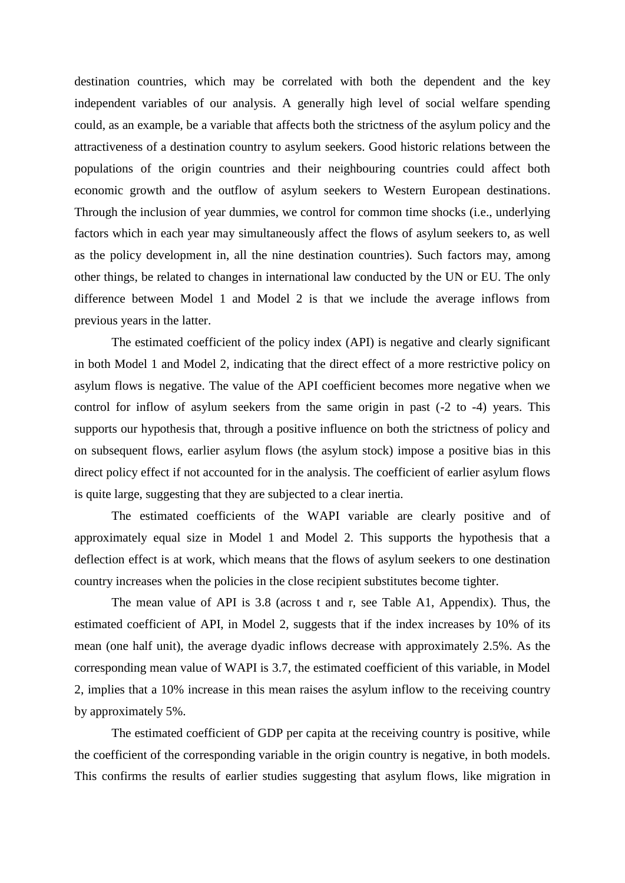destination countries, which may be correlated with both the dependent and the key independent variables of our analysis. A generally high level of social welfare spending could, as an example, be a variable that affects both the strictness of the asylum policy and the attractiveness of a destination country to asylum seekers. Good historic relations between the populations of the origin countries and their neighbouring countries could affect both economic growth and the outflow of asylum seekers to Western European destinations. Through the inclusion of year dummies, we control for common time shocks (i.e., underlying factors which in each year may simultaneously affect the flows of asylum seekers to, as well as the policy development in, all the nine destination countries). Such factors may, among other things, be related to changes in international law conducted by the UN or EU. The only difference between Model 1 and Model 2 is that we include the average inflows from previous years in the latter.

The estimated coefficient of the policy index (API) is negative and clearly significant in both Model 1 and Model 2, indicating that the direct effect of a more restrictive policy on asylum flows is negative. The value of the API coefficient becomes more negative when we control for inflow of asylum seekers from the same origin in past (-2 to -4) years. This supports our hypothesis that, through a positive influence on both the strictness of policy and on subsequent flows, earlier asylum flows (the asylum stock) impose a positive bias in this direct policy effect if not accounted for in the analysis. The coefficient of earlier asylum flows is quite large, suggesting that they are subjected to a clear inertia.

The estimated coefficients of the WAPI variable are clearly positive and of approximately equal size in Model 1 and Model 2. This supports the hypothesis that a deflection effect is at work, which means that the flows of asylum seekers to one destination country increases when the policies in the close recipient substitutes become tighter.

The mean value of API is 3.8 (across t and r, see Table A1, Appendix). Thus, the estimated coefficient of API, in Model 2, suggests that if the index increases by 10% of its mean (one half unit), the average dyadic inflows decrease with approximately 2.5%. As the corresponding mean value of WAPI is 3.7, the estimated coefficient of this variable, in Model 2, implies that a 10% increase in this mean raises the asylum inflow to the receiving country by approximately 5%.

The estimated coefficient of GDP per capita at the receiving country is positive, while the coefficient of the corresponding variable in the origin country is negative, in both models. This confirms the results of earlier studies suggesting that asylum flows, like migration in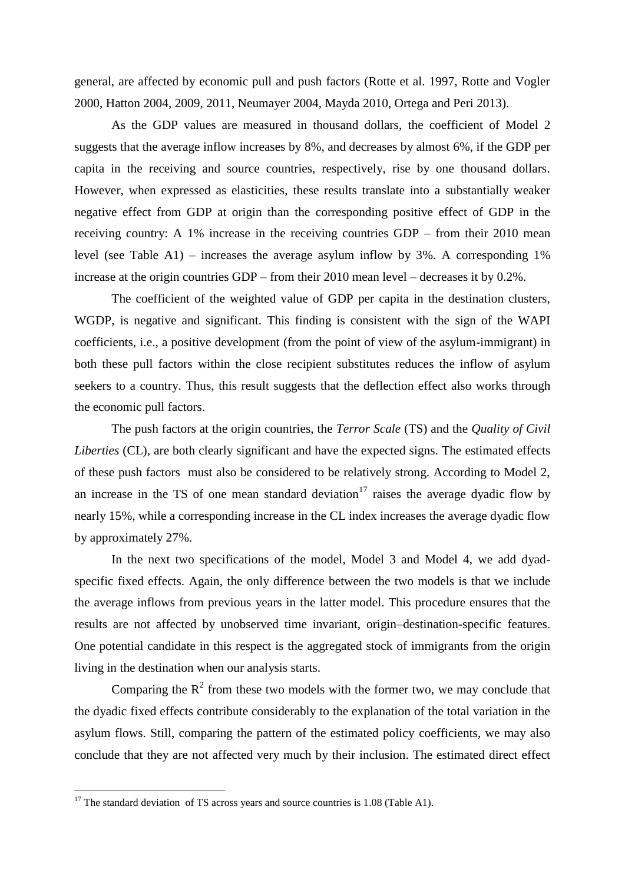general, are affected by economic pull and push factors (Rotte et al. 1997, Rotte and Vogler 2000, Hatton 2004, 2009, 2011, Neumayer 2004, Mayda 2010, Ortega and Peri 2013).

As the GDP values are measured in thousand dollars, the coefficient of Model 2 suggests that the average inflow increases by 8%, and decreases by almost 6%, if the GDP per capita in the receiving and source countries, respectively, rise by one thousand dollars. However, when expressed as elasticities, these results translate into a substantially weaker negative effect from GDP at origin than the corresponding positive effect of GDP in the receiving country: A 1% increase in the receiving countries GDP – from their 2010 mean level (see Table A1) – increases the average asylum inflow by 3%. A corresponding 1% increase at the origin countries GDP – from their 2010 mean level – decreases it by 0.2%.

The coefficient of the weighted value of GDP per capita in the destination clusters, WGDP, is negative and significant. This finding is consistent with the sign of the WAPI coefficients, i.e., a positive development (from the point of view of the asylum-immigrant) in both these pull factors within the close recipient substitutes reduces the inflow of asylum seekers to a country. Thus, this result suggests that the deflection effect also works through the economic pull factors.

The push factors at the origin countries, the *Terror Scale* (TS) and the *Quality of Civil Liberties* (CL), are both clearly significant and have the expected signs. The estimated effects of these push factors must also be considered to be relatively strong. According to Model 2, an increase in the TS of one mean standard deviation<sup>17</sup> raises the average dyadic flow by nearly 15%, while a corresponding increase in the CL index increases the average dyadic flow by approximately 27%.

In the next two specifications of the model, Model 3 and Model 4, we add dyadspecific fixed effects. Again, the only difference between the two models is that we include the average inflows from previous years in the latter model. This procedure ensures that the results are not affected by unobserved time invariant, origin–destination-specific features. One potential candidate in this respect is the aggregated stock of immigrants from the origin living in the destination when our analysis starts.

Comparing the  $R^2$  from these two models with the former two, we may conclude that the dyadic fixed effects contribute considerably to the explanation of the total variation in the asylum flows. Still, comparing the pattern of the estimated policy coefficients, we may also conclude that they are not affected very much by their inclusion. The estimated direct effect

l

 $17$  The standard deviation of TS across years and source countries is 1.08 (Table A1).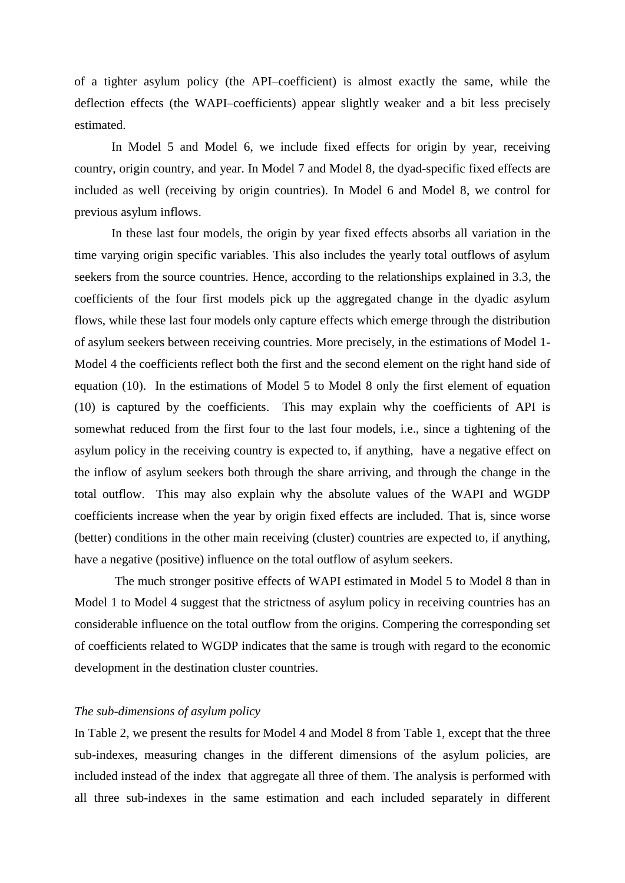of a tighter asylum policy (the API–coefficient) is almost exactly the same, while the deflection effects (the WAPI–coefficients) appear slightly weaker and a bit less precisely estimated.

In Model 5 and Model 6, we include fixed effects for origin by year, receiving country, origin country, and year. In Model 7 and Model 8, the dyad-specific fixed effects are included as well (receiving by origin countries). In Model 6 and Model 8, we control for previous asylum inflows.

In these last four models, the origin by year fixed effects absorbs all variation in the time varying origin specific variables. This also includes the yearly total outflows of asylum seekers from the source countries. Hence, according to the relationships explained in 3.3, the coefficients of the four first models pick up the aggregated change in the dyadic asylum flows, while these last four models only capture effects which emerge through the distribution of asylum seekers between receiving countries. More precisely, in the estimations of Model 1- Model 4 the coefficients reflect both the first and the second element on the right hand side of equation (10). In the estimations of Model 5 to Model 8 only the first element of equation (10) is captured by the coefficients. This may explain why the coefficients of API is somewhat reduced from the first four to the last four models, i.e., since a tightening of the asylum policy in the receiving country is expected to, if anything, have a negative effect on the inflow of asylum seekers both through the share arriving, and through the change in the total outflow. This may also explain why the absolute values of the WAPI and WGDP coefficients increase when the year by origin fixed effects are included. That is, since worse (better) conditions in the other main receiving (cluster) countries are expected to, if anything, have a negative (positive) influence on the total outflow of asylum seekers.

The much stronger positive effects of WAPI estimated in Model 5 to Model 8 than in Model 1 to Model 4 suggest that the strictness of asylum policy in receiving countries has an considerable influence on the total outflow from the origins. Compering the corresponding set of coefficients related to WGDP indicates that the same is trough with regard to the economic development in the destination cluster countries.

## *The sub-dimensions of asylum policy*

In Table 2, we present the results for Model 4 and Model 8 from Table 1, except that the three sub-indexes, measuring changes in the different dimensions of the asylum policies, are included instead of the index that aggregate all three of them. The analysis is performed with all three sub-indexes in the same estimation and each included separately in different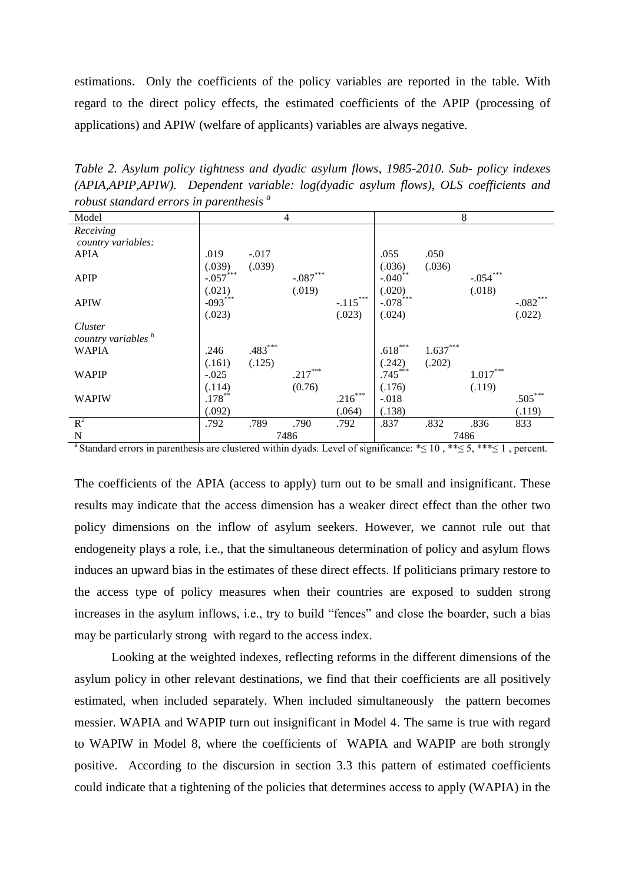estimations. Only the coefficients of the policy variables are reported in the table. With regard to the direct policy effects, the estimated coefficients of the APIP (processing of applications) and APIW (welfare of applicants) variables are always negative.

*Table 2. Asylum policy tightness and dyadic asylum flows, 1985-2010. Sub- policy indexes (APIA,APIP,APIW). Dependent variable: log(dyadic asylum flows), OLS coefficients and robust standard errors in parenthesis <sup>a</sup>*

| Model                          |             |           | $\overline{4}$ |            | 8                      |            |            |            |
|--------------------------------|-------------|-----------|----------------|------------|------------------------|------------|------------|------------|
| Receiving                      |             |           |                |            |                        |            |            |            |
| country variables:             |             |           |                |            |                        |            |            |            |
| <b>APIA</b>                    | .019        | $-.017$   |                |            | .055                   | .050       |            |            |
|                                | (.039)      | (.039)    |                |            | (.036)                 | (.036)     |            |            |
| <b>APIP</b>                    | $-.057$ *** |           | $-.087***$     |            | $-.040$ <sup>**</sup>  |            | $-.054***$ |            |
|                                | (.021)      |           | (.019)         |            | (.020)                 |            | (.018)     |            |
| <b>APIW</b>                    | $-093***$   |           |                | $-.115***$ | $-.078$ <sup>***</sup> |            |            | $-.082***$ |
|                                | (.023)      |           |                | (.023)     | (.024)                 |            |            | (.022)     |
| Cluster                        |             |           |                |            |                        |            |            |            |
| country variables <sup>b</sup> |             |           |                |            |                        |            |            |            |
| <b>WAPIA</b>                   | .246        | $.483***$ |                |            | $.618***$              | $1.637***$ |            |            |
|                                |             |           |                |            |                        |            |            |            |
|                                | (.161)      | (.125)    |                |            | (.242)                 | (.202)     |            |            |
| <b>WAPIP</b>                   | $-.025$     |           | $.217***$      |            | $.745***$              |            | $1.017***$ |            |
|                                | (.114)      |           | (0.76)         |            | (.176)                 |            | (.119)     |            |
| <b>WAPIW</b>                   | $.178***$   |           |                | $.216***$  | $-.018$                |            |            | $.505***$  |
|                                | (.092)      |           |                | (.064)     | (.138)                 |            |            | (.119)     |
| $R^2$                          | .792        | .789      | .790           | .792       | .837                   | .832       | .836       | 833        |
| N                              |             |           | 7486           |            |                        | 7486       |            |            |

<sup>a</sup>Standard errors in parenthesis are clustered within dyads. Level of significance: \* ≤ 10, \* \* ≤ 5, \* \* \* ≤ 1, percent.

The coefficients of the APIA (access to apply) turn out to be small and insignificant. These results may indicate that the access dimension has a weaker direct effect than the other two policy dimensions on the inflow of asylum seekers. However, we cannot rule out that endogeneity plays a role, i.e., that the simultaneous determination of policy and asylum flows induces an upward bias in the estimates of these direct effects. If politicians primary restore to the access type of policy measures when their countries are exposed to sudden strong increases in the asylum inflows, i.e., try to build "fences" and close the boarder, such a bias may be particularly strong with regard to the access index.

Looking at the weighted indexes, reflecting reforms in the different dimensions of the asylum policy in other relevant destinations, we find that their coefficients are all positively estimated, when included separately. When included simultaneously the pattern becomes messier. WAPIA and WAPIP turn out insignificant in Model 4. The same is true with regard to WAPIW in Model 8, where the coefficients of WAPIA and WAPIP are both strongly positive. According to the discursion in section 3.3 this pattern of estimated coefficients could indicate that a tightening of the policies that determines access to apply (WAPIA) in the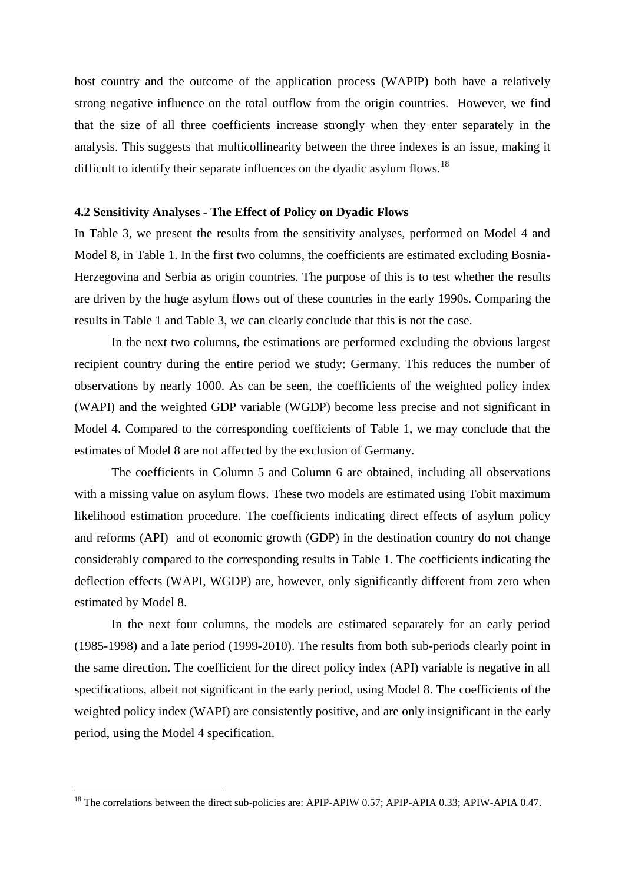host country and the outcome of the application process (WAPIP) both have a relatively strong negative influence on the total outflow from the origin countries. However, we find that the size of all three coefficients increase strongly when they enter separately in the analysis. This suggests that multicollinearity between the three indexes is an issue, making it difficult to identify their separate influences on the dyadic asylum flows.<sup>18</sup>

## **4.2 Sensitivity Analyses - The Effect of Policy on Dyadic Flows**

In Table 3, we present the results from the sensitivity analyses, performed on Model 4 and Model 8, in Table 1. In the first two columns, the coefficients are estimated excluding Bosnia-Herzegovina and Serbia as origin countries. The purpose of this is to test whether the results are driven by the huge asylum flows out of these countries in the early 1990s. Comparing the results in Table 1 and Table 3, we can clearly conclude that this is not the case.

In the next two columns, the estimations are performed excluding the obvious largest recipient country during the entire period we study: Germany. This reduces the number of observations by nearly 1000. As can be seen, the coefficients of the weighted policy index (WAPI) and the weighted GDP variable (WGDP) become less precise and not significant in Model 4. Compared to the corresponding coefficients of Table 1, we may conclude that the estimates of Model 8 are not affected by the exclusion of Germany.

The coefficients in Column 5 and Column 6 are obtained, including all observations with a missing value on asylum flows. These two models are estimated using Tobit maximum likelihood estimation procedure. The coefficients indicating direct effects of asylum policy and reforms (API) and of economic growth (GDP) in the destination country do not change considerably compared to the corresponding results in Table 1. The coefficients indicating the deflection effects (WAPI, WGDP) are, however, only significantly different from zero when estimated by Model 8.

In the next four columns, the models are estimated separately for an early period (1985-1998) and a late period (1999-2010). The results from both sub-periods clearly point in the same direction. The coefficient for the direct policy index (API) variable is negative in all specifications, albeit not significant in the early period, using Model 8. The coefficients of the weighted policy index (WAPI) are consistently positive, and are only insignificant in the early period, using the Model 4 specification.

l

 $^{18}$  The correlations between the direct sub-policies are: APIP-APIW 0.57; APIP-APIA 0.33; APIW-APIA 0.47.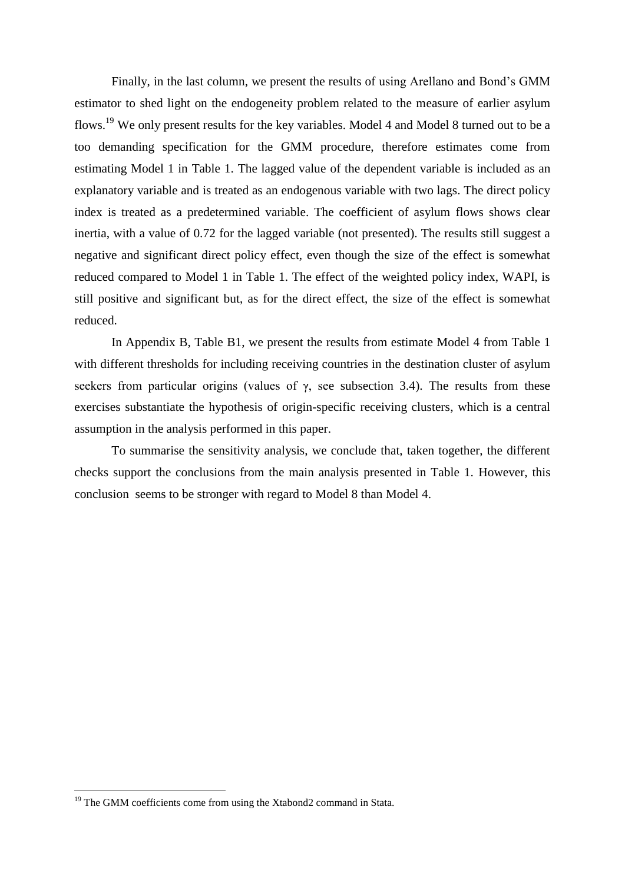Finally, in the last column, we present the results of using Arellano and Bond's GMM estimator to shed light on the endogeneity problem related to the measure of earlier asylum flows.<sup>19</sup> We only present results for the key variables. Model 4 and Model 8 turned out to be a too demanding specification for the GMM procedure, therefore estimates come from estimating Model 1 in Table 1. The lagged value of the dependent variable is included as an explanatory variable and is treated as an endogenous variable with two lags. The direct policy index is treated as a predetermined variable. The coefficient of asylum flows shows clear inertia, with a value of 0.72 for the lagged variable (not presented). The results still suggest a negative and significant direct policy effect, even though the size of the effect is somewhat reduced compared to Model 1 in Table 1. The effect of the weighted policy index, WAPI, is still positive and significant but, as for the direct effect, the size of the effect is somewhat reduced.

In Appendix B, Table B1, we present the results from estimate Model 4 from Table 1 with different thresholds for including receiving countries in the destination cluster of asylum seekers from particular origins (values of  $\gamma$ , see subsection 3.4). The results from these exercises substantiate the hypothesis of origin-specific receiving clusters, which is a central assumption in the analysis performed in this paper.

To summarise the sensitivity analysis, we conclude that, taken together, the different checks support the conclusions from the main analysis presented in Table 1. However, this conclusion seems to be stronger with regard to Model 8 than Model 4.

l

<sup>&</sup>lt;sup>19</sup> The GMM coefficients come from using the Xtabond2 command in Stata.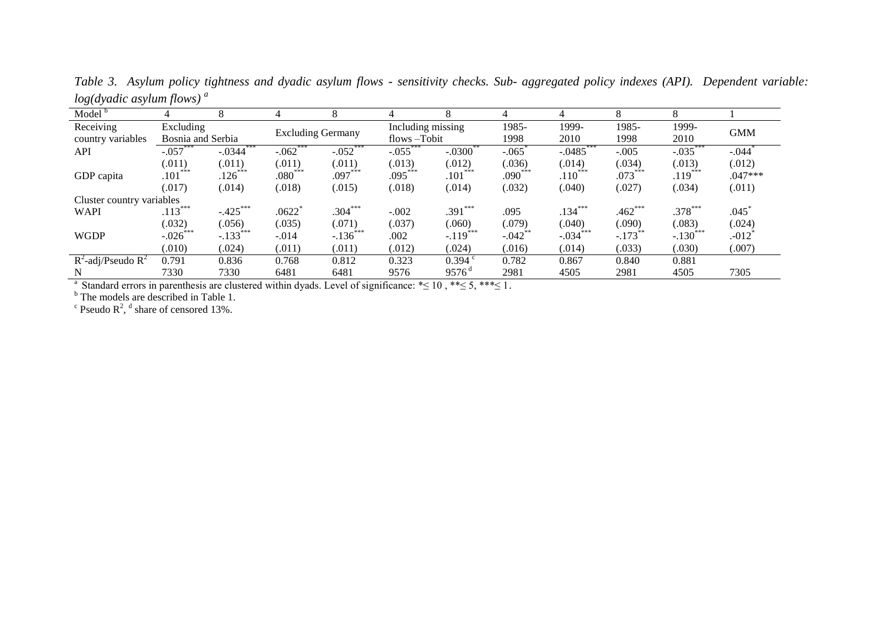*Table 3. Asylum policy tightness and dyadic asylum flows - sensitivity checks. Sub- aggregated policy indexes (API). Dependent variable: log(dyadic asylum flows) <sup>a</sup>*

| Model <sup>b</sup>        | 4                 |                       |                          |                       |                   | 8                      | 4          | 4                       | 8         | 8           |            |
|---------------------------|-------------------|-----------------------|--------------------------|-----------------------|-------------------|------------------------|------------|-------------------------|-----------|-------------|------------|
| Receiving                 | Excluding         |                       | <b>Excluding Germany</b> |                       | Including missing |                        | 1985-      | 1999-                   | 1985-     | 1999-       | <b>GMM</b> |
| country variables         | Bosnia and Serbia |                       |                          |                       | flows-Tobit       |                        | 1998       | 2010                    | 1998      | 2010        |            |
| API                       | $-.057***$        | $-0.0344$ ***         | $-.062***$               | $-.052$ ***           | $-.055***$        | $-.0300$ <sup>**</sup> | $-.065$    | $-0.0485$               | $-.005$   | $-0.035***$ | $-.044$    |
|                           | (.011)            | (.011)                | (.011)                   | (.011)                | (.013)            | (.012)                 | (.036)     | (.014)                  | (.034)    | (.013)      | (.012)     |
| GDP capita                | $.101***$         | $.126***$             | $.080***$                | $.097***$             | $.095***$         | $.101***$              | $.090***$  | $.110***$               | $.073***$ | $.119***$   | $.047***$  |
|                           | (.017)            | (.014)                | (.018)                   | (.015)                | (.018)            | (.014)                 | (.032)     | (.040)                  | (.027)    | (.034)      | (.011)     |
| Cluster country variables |                   |                       |                          |                       |                   |                        |            |                         |           |             |            |
| <b>WAPI</b>               | $.113***$         | $-.425***$            | .0622                    | $.304***$             | $-.002$           | .391***                | .095       | $.134***$               | $.462***$ | $.378***$   | .045       |
|                           | (.032)            | (.056)                | (.035)                   | (.071)                | (.037)            | (.060)                 | (.079)     | (.040)                  | (.090)    | (.083)      | (.024)     |
| <b>WGDP</b>               | ***<br>$-.026$    | $-133$ <sup>***</sup> | $-.014$                  | $-136$ <sup>***</sup> | .002              | ***<br>$-.119$         | $-.042$ ** | $-0.034$ <sup>***</sup> | $-.173$   | $-.130$     | $-012$     |
|                           | (.010)            | (.024)                | (.011)                   | (.011)                | (.012)            | (.024)                 | (.016)     | (.014)                  | (.033)    | (.030)      | (.007)     |
| $R^2$ -adj/Pseudo $R^2$   | 0.791             | 0.836                 | 0.768                    | 0.812                 | 0.323             | 0.394                  | 0.782      | 0.867                   | 0.840     | 0.881       |            |
| $\sim$<br>.               | 7330              | 7330                  | 6481<br>$\cdots$         | 6481<br>$\sim$ $\sim$ | 9576<br>$\cdot$   | $9576^{\rm d}$         | 2981       | 4505                    | 2981      | 4505        | 7305       |

<sup>a</sup> Standard errors in parenthesis are clustered within dyads. Level of significance: \* ≤ 10, \* \* ≤ 5, \* \* \* ≤ 1.

<sup>b</sup> The models are described in Table 1.<br><sup>c</sup> Pseudo  $R^2$ , <sup>d</sup> share of censored 13%.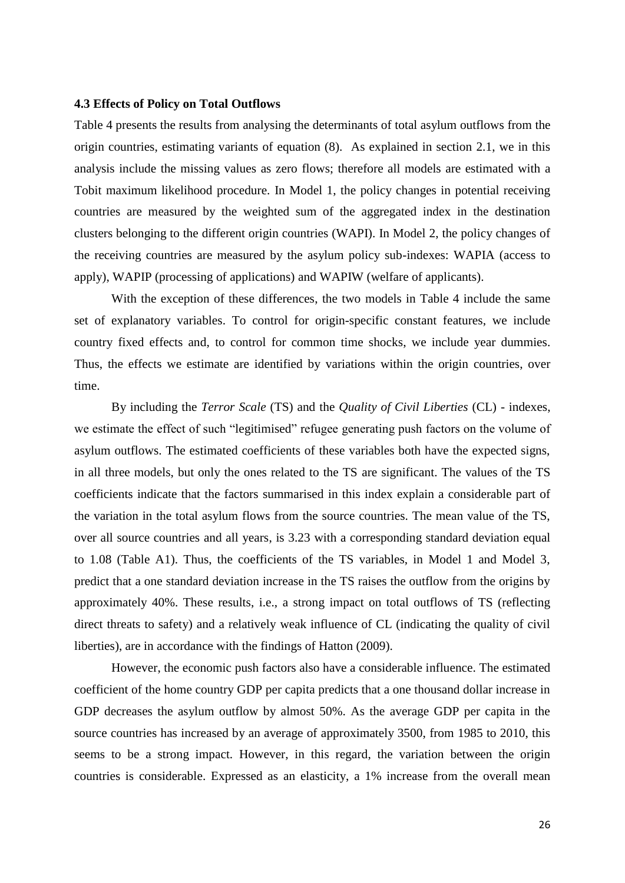## **4.3 Effects of Policy on Total Outflows**

Table 4 presents the results from analysing the determinants of total asylum outflows from the origin countries, estimating variants of equation (8). As explained in section 2.1, we in this analysis include the missing values as zero flows; therefore all models are estimated with a Tobit maximum likelihood procedure. In Model 1, the policy changes in potential receiving countries are measured by the weighted sum of the aggregated index in the destination clusters belonging to the different origin countries (WAPI). In Model 2, the policy changes of the receiving countries are measured by the asylum policy sub-indexes: WAPIA (access to apply), WAPIP (processing of applications) and WAPIW (welfare of applicants).

With the exception of these differences, the two models in Table 4 include the same set of explanatory variables. To control for origin-specific constant features, we include country fixed effects and, to control for common time shocks, we include year dummies. Thus, the effects we estimate are identified by variations within the origin countries, over time.

By including the *Terror Scale* (TS) and the *Quality of Civil Liberties* (CL) - indexes, we estimate the effect of such "legitimised" refugee generating push factors on the volume of asylum outflows. The estimated coefficients of these variables both have the expected signs, in all three models, but only the ones related to the TS are significant. The values of the TS coefficients indicate that the factors summarised in this index explain a considerable part of the variation in the total asylum flows from the source countries. The mean value of the TS, over all source countries and all years, is 3.23 with a corresponding standard deviation equal to 1.08 (Table A1). Thus, the coefficients of the TS variables, in Model 1 and Model 3, predict that a one standard deviation increase in the TS raises the outflow from the origins by approximately 40%. These results, i.e., a strong impact on total outflows of TS (reflecting direct threats to safety) and a relatively weak influence of CL (indicating the quality of civil liberties), are in accordance with the findings of Hatton (2009).

However, the economic push factors also have a considerable influence. The estimated coefficient of the home country GDP per capita predicts that a one thousand dollar increase in GDP decreases the asylum outflow by almost 50%. As the average GDP per capita in the source countries has increased by an average of approximately 3500, from 1985 to 2010, this seems to be a strong impact. However, in this regard, the variation between the origin countries is considerable. Expressed as an elasticity, a 1% increase from the overall mean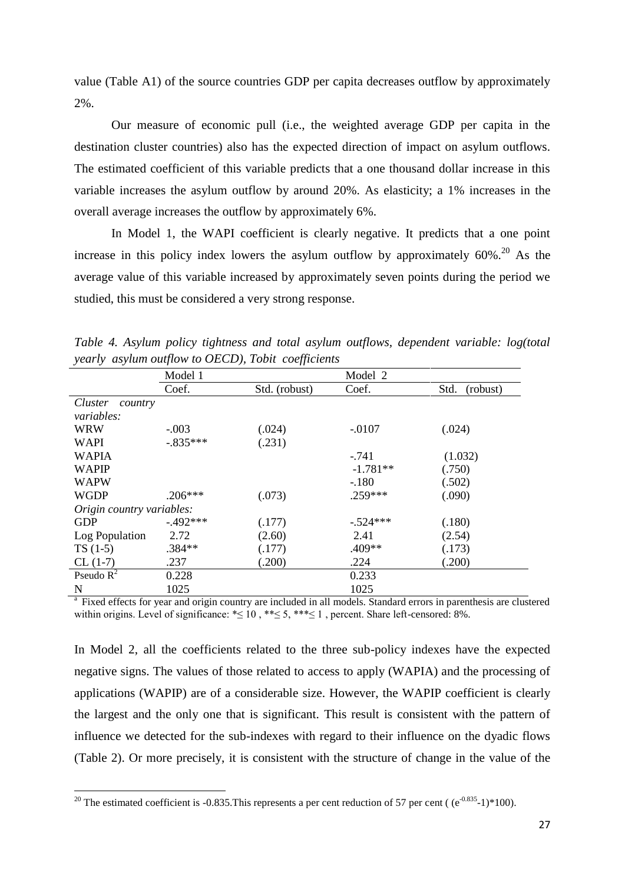value (Table A1) of the source countries GDP per capita decreases outflow by approximately 2%.

Our measure of economic pull (i.e., the weighted average GDP per capita in the destination cluster countries) also has the expected direction of impact on asylum outflows. The estimated coefficient of this variable predicts that a one thousand dollar increase in this variable increases the asylum outflow by around 20%. As elasticity; a 1% increases in the overall average increases the outflow by approximately 6%.

In Model 1, the WAPI coefficient is clearly negative. It predicts that a one point increase in this policy index lowers the asylum outflow by approximately  $60\%$ <sup>20</sup> As the average value of this variable increased by approximately seven points during the period we studied, this must be considered a very strong response.

|                           | Model 1    |               | Model 2    |                  |  |  |  |
|---------------------------|------------|---------------|------------|------------------|--|--|--|
|                           | Coef.      | Std. (robust) | Coef.      | Std.<br>(robust) |  |  |  |
| Cluster<br>country        |            |               |            |                  |  |  |  |
| <i>variables:</i>         |            |               |            |                  |  |  |  |
| <b>WRW</b>                | $-.003$    | (.024)        | $-.0107$   | (.024)           |  |  |  |
| <b>WAPI</b>               | $-.835***$ | (.231)        |            |                  |  |  |  |
| <b>WAPIA</b>              |            |               | $-741$     | (1.032)          |  |  |  |
| <b>WAPIP</b>              |            |               | $-1.781**$ | (.750)           |  |  |  |
| <b>WAPW</b>               |            |               | $-.180$    | (.502)           |  |  |  |
| <b>WGDP</b>               | $.206***$  | (.073)        | .259***    | (.090)           |  |  |  |
| Origin country variables: |            |               |            |                  |  |  |  |
| <b>GDP</b>                | $-492***$  | (.177)        | $-.524***$ | (.180)           |  |  |  |
| Log Population            | 2.72       | (2.60)        | 2.41       | (2.54)           |  |  |  |
| $TS(1-5)$                 | $.384**$   | (.177)        | .409**     | (.173)           |  |  |  |
| $CL(1-7)$                 | .237       | (.200)        | .224       | (.200)           |  |  |  |
| Pseudo $R^2$              | 0.228      |               | 0.233      |                  |  |  |  |
| N                         | 1025       |               | 1025       |                  |  |  |  |

*Table 4. Asylum policy tightness and total asylum outflows, dependent variable: log(total yearly asylum outflow to OECD), Tobit coefficients*

<sup>a</sup> Fixed effects for year and origin country are included in all models. Standard errors in parenthesis are clustered within origins. Level of significance:  $\leq 10$ ,  $\leq 5$ ,  $\leq \leq 5$ ,  $\leq \leq 5$ , percent. Share left-censored: 8%.

In Model 2, all the coefficients related to the three sub-policy indexes have the expected negative signs. The values of those related to access to apply (WAPIA) and the processing of applications (WAPIP) are of a considerable size. However, the WAPIP coefficient is clearly the largest and the only one that is significant. This result is consistent with the pattern of influence we detected for the sub-indexes with regard to their influence on the dyadic flows (Table 2). Or more precisely, it is consistent with the structure of change in the value of the

**.** 

<sup>&</sup>lt;sup>20</sup> The estimated coefficient is -0.835. This represents a per cent reduction of 57 per cent ( $(e^{-0.835} - 1)$ \*100).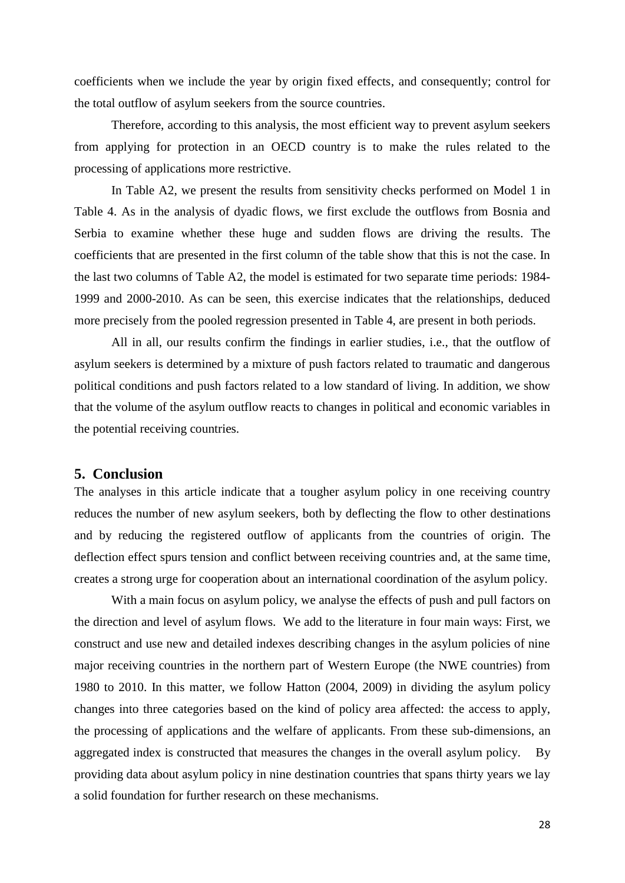coefficients when we include the year by origin fixed effects, and consequently; control for the total outflow of asylum seekers from the source countries.

Therefore, according to this analysis, the most efficient way to prevent asylum seekers from applying for protection in an OECD country is to make the rules related to the processing of applications more restrictive.

In Table A2, we present the results from sensitivity checks performed on Model 1 in Table 4. As in the analysis of dyadic flows, we first exclude the outflows from Bosnia and Serbia to examine whether these huge and sudden flows are driving the results. The coefficients that are presented in the first column of the table show that this is not the case. In the last two columns of Table A2, the model is estimated for two separate time periods: 1984- 1999 and 2000-2010. As can be seen, this exercise indicates that the relationships, deduced more precisely from the pooled regression presented in Table 4, are present in both periods.

All in all, our results confirm the findings in earlier studies, i.e., that the outflow of asylum seekers is determined by a mixture of push factors related to traumatic and dangerous political conditions and push factors related to a low standard of living. In addition, we show that the volume of the asylum outflow reacts to changes in political and economic variables in the potential receiving countries.

## **5. Conclusion**

The analyses in this article indicate that a tougher asylum policy in one receiving country reduces the number of new asylum seekers, both by deflecting the flow to other destinations and by reducing the registered outflow of applicants from the countries of origin. The deflection effect spurs tension and conflict between receiving countries and, at the same time, creates a strong urge for cooperation about an international coordination of the asylum policy.

With a main focus on asylum policy, we analyse the effects of push and pull factors on the direction and level of asylum flows. We add to the literature in four main ways: First, we construct and use new and detailed indexes describing changes in the asylum policies of nine major receiving countries in the northern part of Western Europe (the NWE countries) from 1980 to 2010. In this matter, we follow Hatton (2004, 2009) in dividing the asylum policy changes into three categories based on the kind of policy area affected: the access to apply, the processing of applications and the welfare of applicants. From these sub-dimensions, an aggregated index is constructed that measures the changes in the overall asylum policy. By providing data about asylum policy in nine destination countries that spans thirty years we lay a solid foundation for further research on these mechanisms.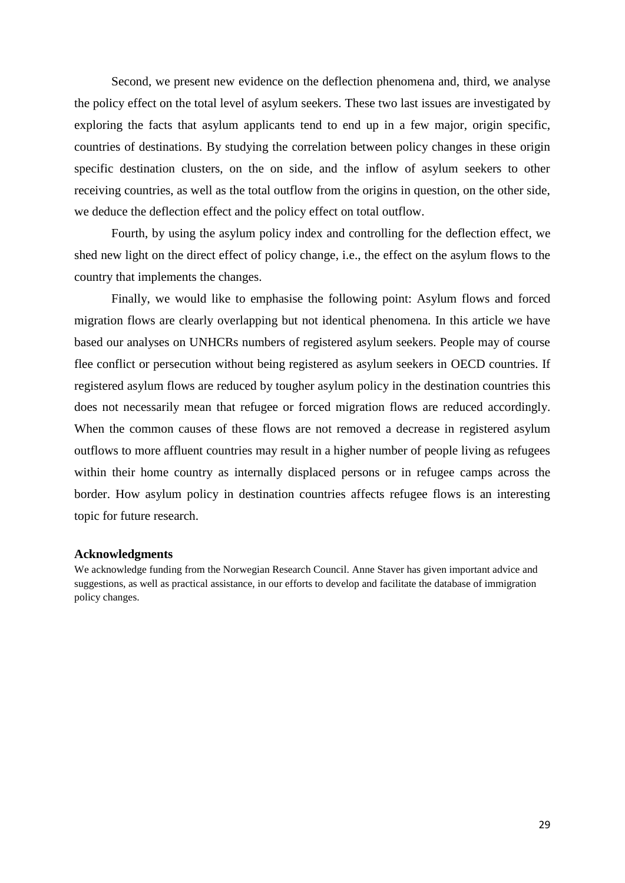Second, we present new evidence on the deflection phenomena and, third, we analyse the policy effect on the total level of asylum seekers. These two last issues are investigated by exploring the facts that asylum applicants tend to end up in a few major, origin specific, countries of destinations. By studying the correlation between policy changes in these origin specific destination clusters, on the on side, and the inflow of asylum seekers to other receiving countries, as well as the total outflow from the origins in question, on the other side, we deduce the deflection effect and the policy effect on total outflow.

Fourth, by using the asylum policy index and controlling for the deflection effect, we shed new light on the direct effect of policy change, i.e., the effect on the asylum flows to the country that implements the changes.

Finally, we would like to emphasise the following point: Asylum flows and forced migration flows are clearly overlapping but not identical phenomena. In this article we have based our analyses on UNHCRs numbers of registered asylum seekers. People may of course flee conflict or persecution without being registered as asylum seekers in OECD countries. If registered asylum flows are reduced by tougher asylum policy in the destination countries this does not necessarily mean that refugee or forced migration flows are reduced accordingly. When the common causes of these flows are not removed a decrease in registered asylum outflows to more affluent countries may result in a higher number of people living as refugees within their home country as internally displaced persons or in refugee camps across the border. How asylum policy in destination countries affects refugee flows is an interesting topic for future research.

#### **Acknowledgments**

We acknowledge funding from the Norwegian Research Council. Anne Staver has given important advice and suggestions, as well as practical assistance, in our efforts to develop and facilitate the database of immigration policy changes.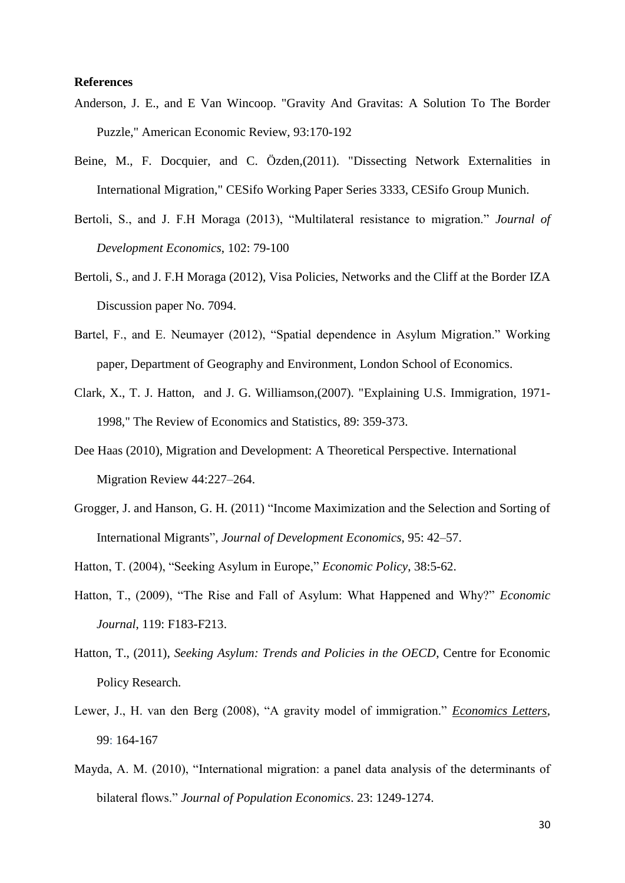## **References**

- Anderson, J. E., and E Van Wincoop. ["Gravity And Gravitas: A Solution To The Border](http://ideas.repec.org/a/aea/aecrev/v93y2003i1p170-192.html)  [Puzzle,"](http://ideas.repec.org/a/aea/aecrev/v93y2003i1p170-192.html) American Economic Review, 93:170-192
- Beine, M., F. Docquier, and C. Özden,(2011). ["Dissecting Network Externalities in](https://ideas.repec.org/p/ces/ceswps/_3333.html)  [International Migration,](https://ideas.repec.org/p/ces/ceswps/_3333.html)" [CESifo Working Paper Series](https://ideas.repec.org/s/ces/ceswps.html) 3333, CESifo Group Munich.
- Bertoli, S., and J. F.H Moraga (2013), "Multilateral resistance to migration." *Journal of Development Economics*, 102: 79-100
- Bertoli, S., and J. F.H Moraga (2012), [Visa Policies, Networks and the Cliff at the Border](http://www.iza.org/en/webcontent/publications/papers/viewAbstract?dp_id=7094) IZA Discussion paper No. 7094.
- Bartel, F., and E. Neumayer (2012), "Spatial dependence in Asylum Migration." Working paper, Department of Geography and Environment, London School of Economics.
- Clark, X., T. J. Hatton, and J. G. Williamson,(2007). ["Explaining U.S. Immigration, 1971-](https://ideas.repec.org/a/tpr/restat/v89y2007i2p359-373.html) [1998,](https://ideas.repec.org/a/tpr/restat/v89y2007i2p359-373.html)" [The Review of Economics and Statistics,](https://ideas.repec.org/s/tpr/restat.html) 89: 359-373.
- Dee Haas (2010), Migration and Development: A Theoretical Perspective. International Migration Review [44:](http://onlinelibrary.wiley.com/doi/10.1111/imre.2010.44.issue-1/issuetoc)227–264.
- Grogger, J. and Hanson, G. H. (2011) "Income Maximization and the Selection and Sorting of International Migrants", *Journal of Development Economics*, 95: 42–57.
- Hatton, T. (2004), "Seeking Asylum in Europe," *Economic Policy*, 38:5-62.
- Hatton, T., (2009), "The Rise and Fall of Asylum: What Happened and Why?" *Economic Journal*, 119: F183-F213.
- Hatton, T., (2011), *Seeking Asylum: Trends and Policies in the OECD*, Centre for Economic Policy Research.
- Lewer, J., H. van den Berg (2008), "A gravity model of immigration." *[Economics Letters](http://econpapers.repec.org/article/eeeecolet/)*, 99: 164-167
- Mayda, A. M. (2010), "International migration: a panel data analysis of the determinants of bilateral flows." *Journal of Population Economics*. 23: 1249-1274.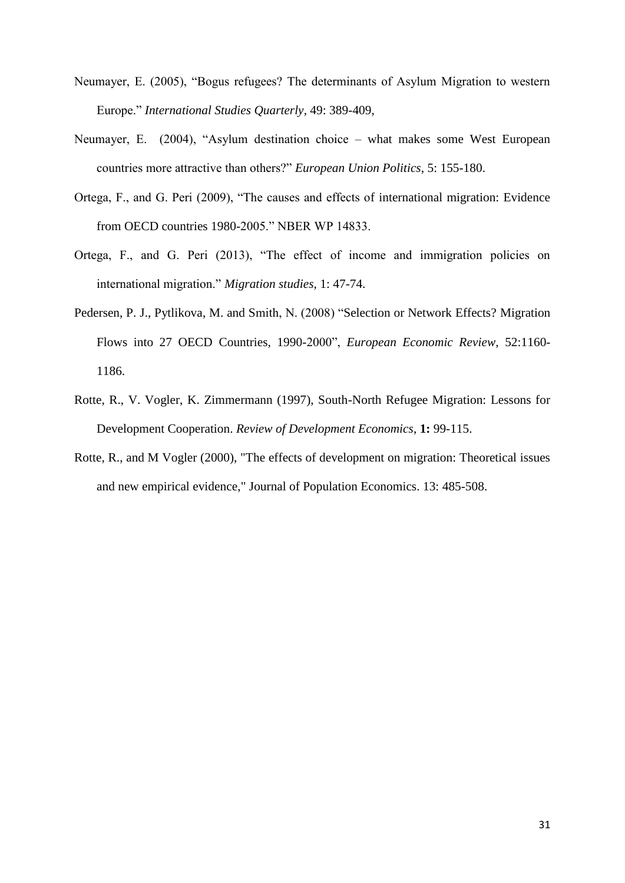- Neumayer, E. (2005), "Bogus refugees? The determinants of Asylum Migration to western Europe." *International Studies Quarterly*, 49: 389-409,
- Neumayer, E. (2004), "Asylum destination choice what makes some West European countries more attractive than others?" *European Union Politics*, 5: 155-180.
- Ortega, F., and G. Peri (2009), "The causes and effects of international migration: Evidence from OECD countries 1980-2005." NBER WP 14833.
- Ortega, F., and G. Peri (2013), "The effect of income and immigration policies on international migration." *Migration studies*, 1: 47-74.
- Pedersen, P. J., Pytlikova, M. and Smith, N. (2008) "Selection or Network Effects? Migration Flows into 27 OECD Countries, 1990-2000", *European Economic Review,* 52:1160- 1186.
- Rotte, R., V. Vogler, K. Zimmermann (1997), South-North Refugee Migration: Lessons for Development Cooperation. *Review of Development Economics*, **1:** 99-115.
- Rotte, R., and M Vogler (2000), ["The effects of development on migration: Theoretical issues](http://ideas.repec.org/a/spr/jopoec/v13y2000i3p485-508.html)  [and new empirical evidence,](http://ideas.repec.org/a/spr/jopoec/v13y2000i3p485-508.html)" [Journal of Population Economics.](http://ideas.repec.org/s/spr/jopoec.html) 13: 485-508.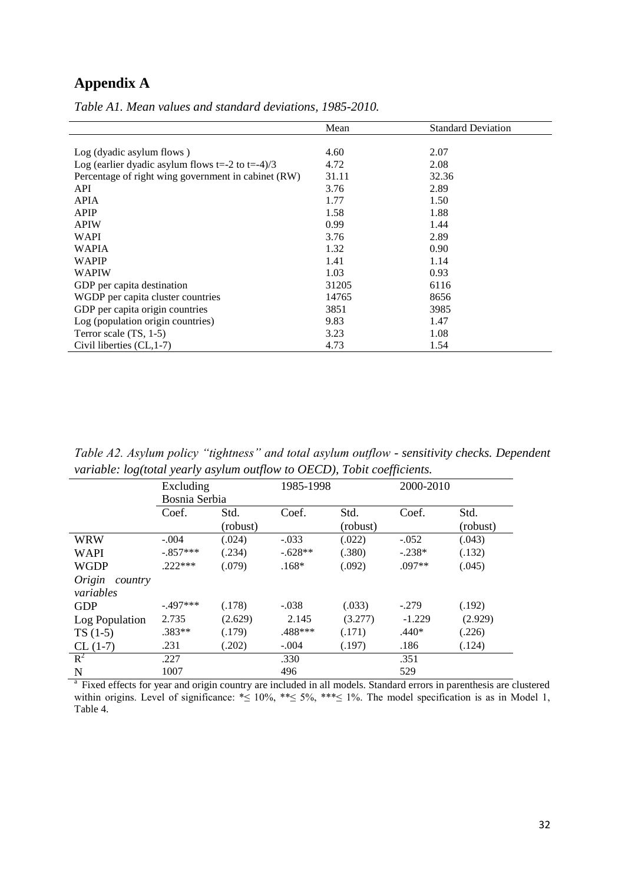## **Appendix A**

|                                                           | Mean  | <b>Standard Deviation</b> |
|-----------------------------------------------------------|-------|---------------------------|
|                                                           |       |                           |
| Log (dyadic asylum flows)                                 | 4.60  | 2.07                      |
| Log (earlier dyadic asylum flows $t = -2$ to $t = -4$ )/3 | 4.72  | 2.08                      |
| Percentage of right wing government in cabinet (RW)       | 31.11 | 32.36                     |
| API                                                       | 3.76  | 2.89                      |
| <b>APIA</b>                                               | 1.77  | 1.50                      |
| <b>APIP</b>                                               | 1.58  | 1.88                      |
| <b>APIW</b>                                               | 0.99  | 1.44                      |
| <b>WAPI</b>                                               | 3.76  | 2.89                      |
| <b>WAPIA</b>                                              | 1.32  | 0.90                      |
| <b>WAPIP</b>                                              | 1.41  | 1.14                      |
| <b>WAPIW</b>                                              | 1.03  | 0.93                      |
| GDP per capita destination                                | 31205 | 6116                      |
| WGDP per capita cluster countries                         | 14765 | 8656                      |
| GDP per capita origin countries                           | 3851  | 3985                      |
| Log (population origin countries)                         | 9.83  | 1.47                      |
| Terror scale $(TS, 1-5)$                                  | 3.23  | 1.08                      |
| Civil liberties (CL, 1-7)                                 | 4.73  | 1.54                      |

*Table A1. Mean values and standard deviations, 1985-2010.*

*Table A2. Asylum policy "tightness" and total asylum outflow - sensitivity checks. Dependent variable: log(total yearly asylum outflow to OECD), Tobit coefficients.*

|                   | Excluding     |          |           | 1985-1998 |          | 2000-2010 |  |
|-------------------|---------------|----------|-----------|-----------|----------|-----------|--|
|                   | Bosnia Serbia |          |           |           |          |           |  |
|                   | Coef.         | Std.     | Coef.     | Std.      | Coef.    | Std.      |  |
|                   |               | (robust) |           | (robust)  |          | (robust)  |  |
| WRW               | $-.004$       | (.024)   | $-.033$   | (.022)    | $-.052$  | (.043)    |  |
| <b>WAPI</b>       | $-.857***$    | (.234)   | $-.628**$ | (.380)    | $-.238*$ | (.132)    |  |
| <b>WGDP</b>       | $.222***$     | (.079)   | $.168*$   | (.092)    | $.097**$ | (.045)    |  |
| Origin<br>country |               |          |           |           |          |           |  |
| variables         |               |          |           |           |          |           |  |
| <b>GDP</b>        | $-.497***$    | (.178)   | $-.038$   | (.033)    | $-.279$  | (.192)    |  |
| Log Population    | 2.735         | (2.629)  | 2.145     | (3.277)   | $-1.229$ | (2.929)   |  |
| $TS(1-5)$         | $.383**$      | (.179)   | .488***   | (.171)    | $.440*$  | (.226)    |  |
| $CL(1-7)$         | .231          | (.202)   | $-.004$   | (.197)    | .186     | (.124)    |  |
| $R^2$             | .227          |          | .330      |           | .351     |           |  |
| N                 | 1007          |          | 496       |           | 529      |           |  |

<sup>a</sup> Fixed effects for year and origin country are included in all models. Standard errors in parenthesis are clustered within origins. Level of significance: \*≤ 10%, \*\*≤ 5%, \*\*\*≤ 1%. The model specification is as in Model 1, Table 4.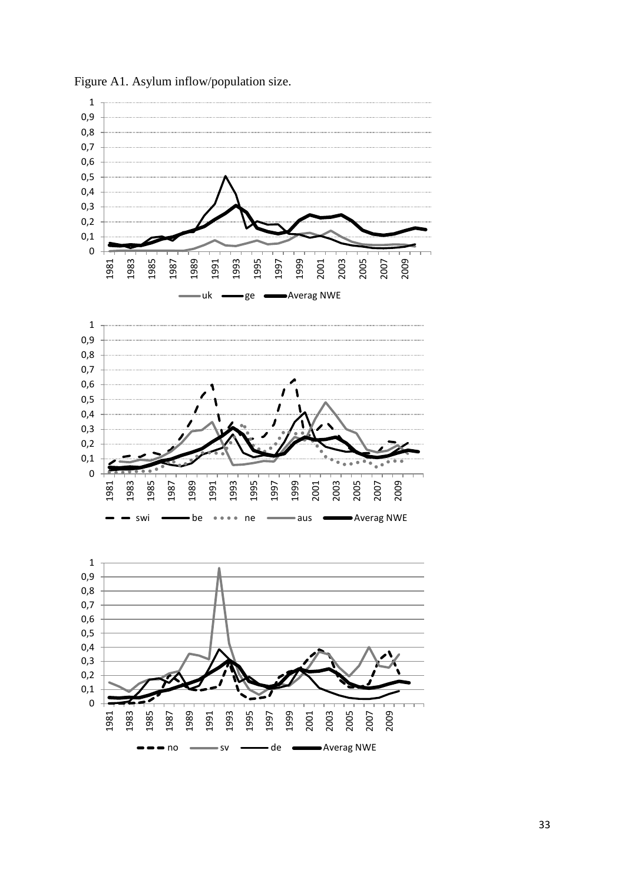

Figure A1. Asylum inflow/population size.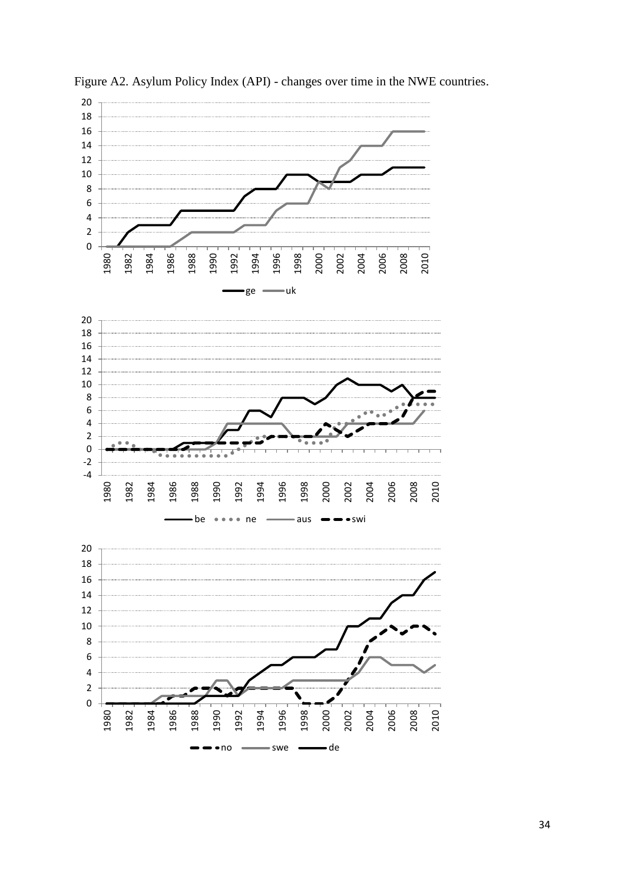

• no swe — de

Figure A2. Asylum Policy Index (API) - changes over time in the NWE countries.